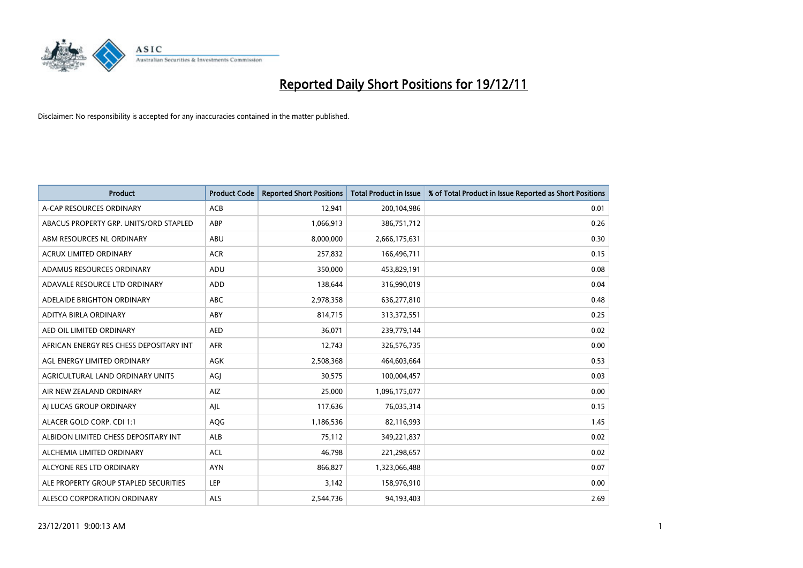

| <b>Product</b>                          | <b>Product Code</b> | <b>Reported Short Positions</b> | <b>Total Product in Issue</b> | % of Total Product in Issue Reported as Short Positions |
|-----------------------------------------|---------------------|---------------------------------|-------------------------------|---------------------------------------------------------|
| A-CAP RESOURCES ORDINARY                | <b>ACB</b>          | 12,941                          | 200,104,986                   | 0.01                                                    |
| ABACUS PROPERTY GRP. UNITS/ORD STAPLED  | ABP                 | 1,066,913                       | 386,751,712                   | 0.26                                                    |
| ABM RESOURCES NL ORDINARY               | ABU                 | 8,000,000                       | 2,666,175,631                 | 0.30                                                    |
| ACRUX LIMITED ORDINARY                  | <b>ACR</b>          | 257,832                         | 166,496,711                   | 0.15                                                    |
| ADAMUS RESOURCES ORDINARY               | ADU                 | 350,000                         | 453,829,191                   | 0.08                                                    |
| ADAVALE RESOURCE LTD ORDINARY           | ADD                 | 138,644                         | 316,990,019                   | 0.04                                                    |
| ADELAIDE BRIGHTON ORDINARY              | <b>ABC</b>          | 2,978,358                       | 636,277,810                   | 0.48                                                    |
| ADITYA BIRLA ORDINARY                   | ABY                 | 814,715                         | 313,372,551                   | 0.25                                                    |
| AED OIL LIMITED ORDINARY                | <b>AED</b>          | 36,071                          | 239,779,144                   | 0.02                                                    |
| AFRICAN ENERGY RES CHESS DEPOSITARY INT | <b>AFR</b>          | 12,743                          | 326,576,735                   | 0.00                                                    |
| AGL ENERGY LIMITED ORDINARY             | <b>AGK</b>          | 2,508,368                       | 464,603,664                   | 0.53                                                    |
| <b>AGRICULTURAL LAND ORDINARY UNITS</b> | AGJ                 | 30,575                          | 100,004,457                   | 0.03                                                    |
| AIR NEW ZEALAND ORDINARY                | AIZ                 | 25,000                          | 1,096,175,077                 | 0.00                                                    |
| AI LUCAS GROUP ORDINARY                 | AIL                 | 117,636                         | 76,035,314                    | 0.15                                                    |
| ALACER GOLD CORP. CDI 1:1               | AQG                 | 1,186,536                       | 82,116,993                    | 1.45                                                    |
| ALBIDON LIMITED CHESS DEPOSITARY INT    | ALB                 | 75,112                          | 349,221,837                   | 0.02                                                    |
| ALCHEMIA LIMITED ORDINARY               | <b>ACL</b>          | 46,798                          | 221,298,657                   | 0.02                                                    |
| ALCYONE RES LTD ORDINARY                | <b>AYN</b>          | 866,827                         | 1,323,066,488                 | 0.07                                                    |
| ALE PROPERTY GROUP STAPLED SECURITIES   | LEP                 | 3,142                           | 158,976,910                   | 0.00                                                    |
| ALESCO CORPORATION ORDINARY             | ALS                 | 2,544,736                       | 94,193,403                    | 2.69                                                    |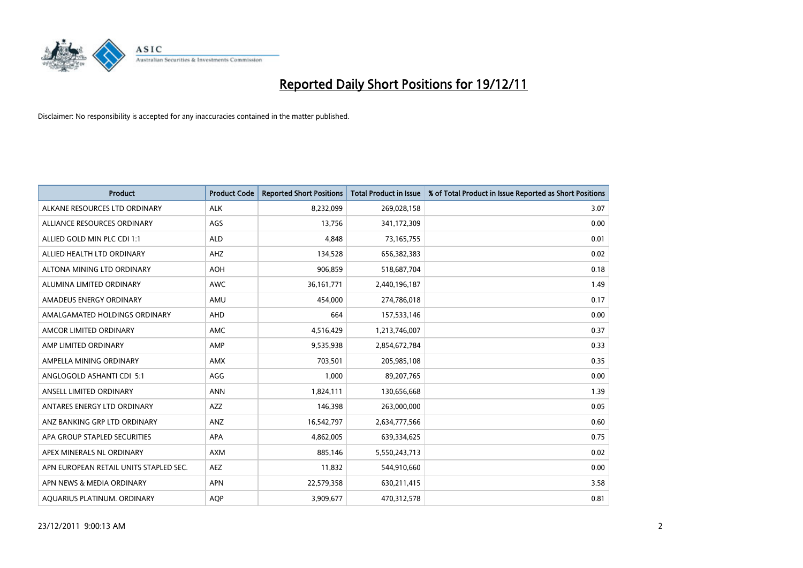

| <b>Product</b>                         | <b>Product Code</b> | <b>Reported Short Positions</b> | <b>Total Product in Issue</b> | % of Total Product in Issue Reported as Short Positions |
|----------------------------------------|---------------------|---------------------------------|-------------------------------|---------------------------------------------------------|
| ALKANE RESOURCES LTD ORDINARY          | <b>ALK</b>          | 8,232,099                       | 269,028,158                   | 3.07                                                    |
| ALLIANCE RESOURCES ORDINARY            | AGS                 | 13,756                          | 341,172,309                   | 0.00                                                    |
| ALLIED GOLD MIN PLC CDI 1:1            | <b>ALD</b>          | 4.848                           | 73,165,755                    | 0.01                                                    |
| ALLIED HEALTH LTD ORDINARY             | AHZ                 | 134,528                         | 656,382,383                   | 0.02                                                    |
| ALTONA MINING LTD ORDINARY             | <b>AOH</b>          | 906,859                         | 518,687,704                   | 0.18                                                    |
| ALUMINA LIMITED ORDINARY               | <b>AWC</b>          | 36, 161, 771                    | 2,440,196,187                 | 1.49                                                    |
| AMADEUS ENERGY ORDINARY                | AMU                 | 454.000                         | 274,786,018                   | 0.17                                                    |
| AMALGAMATED HOLDINGS ORDINARY          | <b>AHD</b>          | 664                             | 157,533,146                   | 0.00                                                    |
| AMCOR LIMITED ORDINARY                 | <b>AMC</b>          | 4,516,429                       | 1,213,746,007                 | 0.37                                                    |
| AMP LIMITED ORDINARY                   | AMP                 | 9,535,938                       | 2,854,672,784                 | 0.33                                                    |
| AMPELLA MINING ORDINARY                | <b>AMX</b>          | 703,501                         | 205,985,108                   | 0.35                                                    |
| ANGLOGOLD ASHANTI CDI 5:1              | AGG                 | 1,000                           | 89,207,765                    | 0.00                                                    |
| ANSELL LIMITED ORDINARY                | <b>ANN</b>          | 1,824,111                       | 130,656,668                   | 1.39                                                    |
| ANTARES ENERGY LTD ORDINARY            | <b>AZZ</b>          | 146,398                         | 263,000,000                   | 0.05                                                    |
| ANZ BANKING GRP LTD ORDINARY           | ANZ                 | 16,542,797                      | 2,634,777,566                 | 0.60                                                    |
| APA GROUP STAPLED SECURITIES           | APA                 | 4,862,005                       | 639,334,625                   | 0.75                                                    |
| APEX MINERALS NL ORDINARY              | <b>AXM</b>          | 885,146                         | 5,550,243,713                 | 0.02                                                    |
| APN EUROPEAN RETAIL UNITS STAPLED SEC. | <b>AEZ</b>          | 11,832                          | 544,910,660                   | 0.00                                                    |
| APN NEWS & MEDIA ORDINARY              | <b>APN</b>          | 22,579,358                      | 630,211,415                   | 3.58                                                    |
| AQUARIUS PLATINUM. ORDINARY            | <b>AOP</b>          | 3,909,677                       | 470,312,578                   | 0.81                                                    |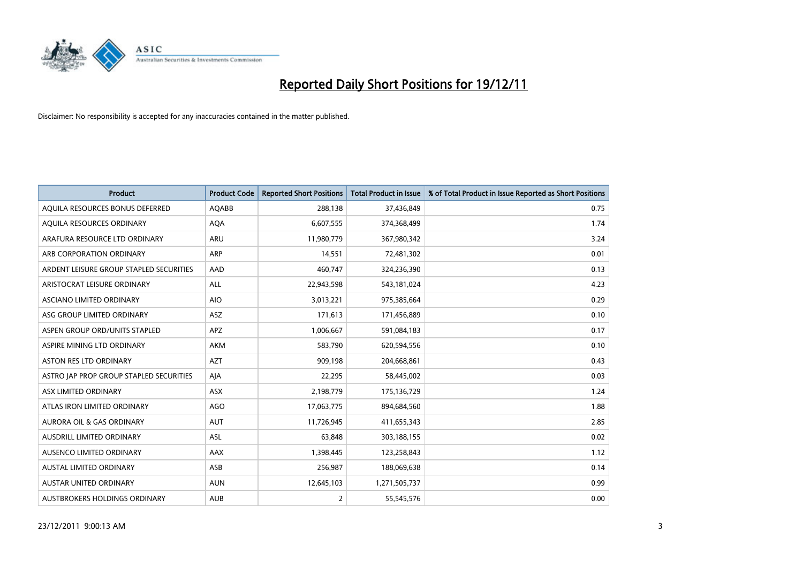

| <b>Product</b>                          | <b>Product Code</b> | <b>Reported Short Positions</b> | <b>Total Product in Issue</b> | % of Total Product in Issue Reported as Short Positions |
|-----------------------------------------|---------------------|---------------------------------|-------------------------------|---------------------------------------------------------|
| AQUILA RESOURCES BONUS DEFERRED         | <b>AQABB</b>        | 288,138                         | 37,436,849                    | 0.75                                                    |
| AQUILA RESOURCES ORDINARY               | <b>AQA</b>          | 6,607,555                       | 374,368,499                   | 1.74                                                    |
| ARAFURA RESOURCE LTD ORDINARY           | <b>ARU</b>          | 11,980,779                      | 367,980,342                   | 3.24                                                    |
| ARB CORPORATION ORDINARY                | <b>ARP</b>          | 14,551                          | 72,481,302                    | 0.01                                                    |
| ARDENT LEISURE GROUP STAPLED SECURITIES | AAD                 | 460,747                         | 324,236,390                   | 0.13                                                    |
| ARISTOCRAT LEISURE ORDINARY             | <b>ALL</b>          | 22,943,598                      | 543,181,024                   | 4.23                                                    |
| ASCIANO LIMITED ORDINARY                | <b>AIO</b>          | 3,013,221                       | 975,385,664                   | 0.29                                                    |
| ASG GROUP LIMITED ORDINARY              | <b>ASZ</b>          | 171,613                         | 171,456,889                   | 0.10                                                    |
| ASPEN GROUP ORD/UNITS STAPLED           | <b>APZ</b>          | 1,006,667                       | 591,084,183                   | 0.17                                                    |
| ASPIRE MINING LTD ORDINARY              | <b>AKM</b>          | 583,790                         | 620,594,556                   | 0.10                                                    |
| <b>ASTON RES LTD ORDINARY</b>           | <b>AZT</b>          | 909,198                         | 204,668,861                   | 0.43                                                    |
| ASTRO JAP PROP GROUP STAPLED SECURITIES | AIA                 | 22,295                          | 58,445,002                    | 0.03                                                    |
| ASX LIMITED ORDINARY                    | ASX                 | 2,198,779                       | 175,136,729                   | 1.24                                                    |
| ATLAS IRON LIMITED ORDINARY             | <b>AGO</b>          | 17,063,775                      | 894,684,560                   | 1.88                                                    |
| <b>AURORA OIL &amp; GAS ORDINARY</b>    | <b>AUT</b>          | 11,726,945                      | 411,655,343                   | 2.85                                                    |
| AUSDRILL LIMITED ORDINARY               | <b>ASL</b>          | 63,848                          | 303,188,155                   | 0.02                                                    |
| AUSENCO LIMITED ORDINARY                | AAX                 | 1,398,445                       | 123,258,843                   | 1.12                                                    |
| AUSTAL LIMITED ORDINARY                 | ASB                 | 256,987                         | 188,069,638                   | 0.14                                                    |
| <b>AUSTAR UNITED ORDINARY</b>           | <b>AUN</b>          | 12,645,103                      | 1,271,505,737                 | 0.99                                                    |
| AUSTBROKERS HOLDINGS ORDINARY           | <b>AUB</b>          | 2                               | 55,545,576                    | 0.00                                                    |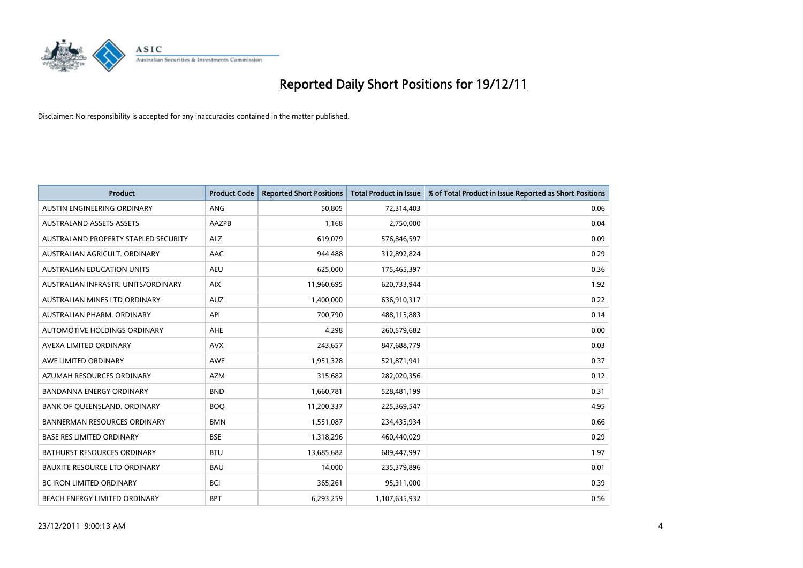

| <b>Product</b>                       | <b>Product Code</b> | <b>Reported Short Positions</b> | <b>Total Product in Issue</b> | % of Total Product in Issue Reported as Short Positions |
|--------------------------------------|---------------------|---------------------------------|-------------------------------|---------------------------------------------------------|
| AUSTIN ENGINEERING ORDINARY          | <b>ANG</b>          | 50.805                          | 72,314,403                    | 0.06                                                    |
| <b>AUSTRALAND ASSETS ASSETS</b>      | AAZPB               | 1,168                           | 2,750,000                     | 0.04                                                    |
| AUSTRALAND PROPERTY STAPLED SECURITY | <b>ALZ</b>          | 619,079                         | 576,846,597                   | 0.09                                                    |
| AUSTRALIAN AGRICULT. ORDINARY        | AAC                 | 944,488                         | 312,892,824                   | 0.29                                                    |
| <b>AUSTRALIAN EDUCATION UNITS</b>    | <b>AEU</b>          | 625,000                         | 175,465,397                   | 0.36                                                    |
| AUSTRALIAN INFRASTR. UNITS/ORDINARY  | <b>AIX</b>          | 11,960,695                      | 620,733,944                   | 1.92                                                    |
| AUSTRALIAN MINES LTD ORDINARY        | <b>AUZ</b>          | 1,400,000                       | 636,910,317                   | 0.22                                                    |
| AUSTRALIAN PHARM. ORDINARY           | API                 | 700,790                         | 488,115,883                   | 0.14                                                    |
| AUTOMOTIVE HOLDINGS ORDINARY         | <b>AHE</b>          | 4,298                           | 260,579,682                   | 0.00                                                    |
| AVEXA LIMITED ORDINARY               | <b>AVX</b>          | 243,657                         | 847,688,779                   | 0.03                                                    |
| AWE LIMITED ORDINARY                 | <b>AWE</b>          | 1,951,328                       | 521,871,941                   | 0.37                                                    |
| AZUMAH RESOURCES ORDINARY            | <b>AZM</b>          | 315,682                         | 282,020,356                   | 0.12                                                    |
| <b>BANDANNA ENERGY ORDINARY</b>      | <b>BND</b>          | 1,660,781                       | 528,481,199                   | 0.31                                                    |
| BANK OF QUEENSLAND. ORDINARY         | <b>BOQ</b>          | 11,200,337                      | 225,369,547                   | 4.95                                                    |
| <b>BANNERMAN RESOURCES ORDINARY</b>  | <b>BMN</b>          | 1,551,087                       | 234,435,934                   | 0.66                                                    |
| BASE RES LIMITED ORDINARY            | <b>BSE</b>          | 1,318,296                       | 460,440,029                   | 0.29                                                    |
| BATHURST RESOURCES ORDINARY          | <b>BTU</b>          | 13,685,682                      | 689,447,997                   | 1.97                                                    |
| <b>BAUXITE RESOURCE LTD ORDINARY</b> | <b>BAU</b>          | 14,000                          | 235,379,896                   | 0.01                                                    |
| <b>BC IRON LIMITED ORDINARY</b>      | <b>BCI</b>          | 365,261                         | 95,311,000                    | 0.39                                                    |
| BEACH ENERGY LIMITED ORDINARY        | <b>BPT</b>          | 6.293.259                       | 1,107,635,932                 | 0.56                                                    |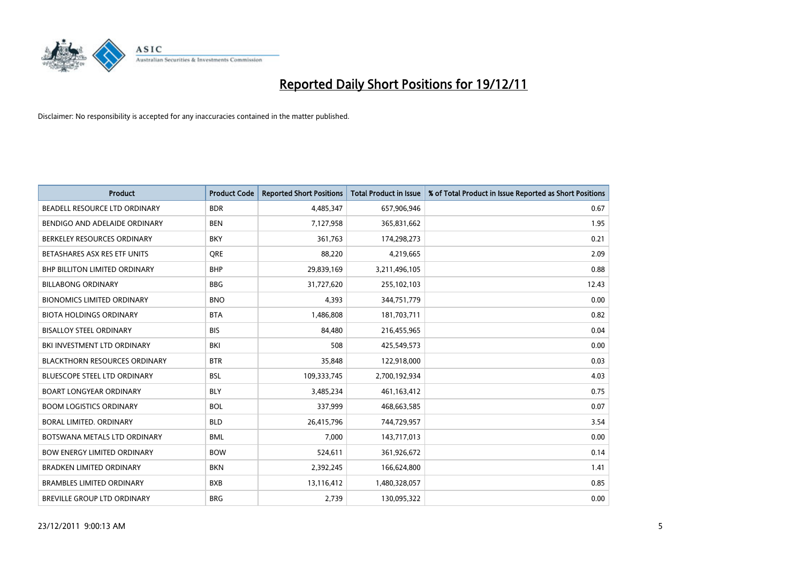

| <b>Product</b>                       | <b>Product Code</b> | <b>Reported Short Positions</b> | <b>Total Product in Issue</b> | % of Total Product in Issue Reported as Short Positions |
|--------------------------------------|---------------------|---------------------------------|-------------------------------|---------------------------------------------------------|
| BEADELL RESOURCE LTD ORDINARY        | <b>BDR</b>          | 4,485,347                       | 657,906,946                   | 0.67                                                    |
| BENDIGO AND ADELAIDE ORDINARY        | <b>BEN</b>          | 7,127,958                       | 365,831,662                   | 1.95                                                    |
| BERKELEY RESOURCES ORDINARY          | <b>BKY</b>          | 361,763                         | 174,298,273                   | 0.21                                                    |
| BETASHARES ASX RES ETF UNITS         | <b>ORE</b>          | 88,220                          | 4,219,665                     | 2.09                                                    |
| <b>BHP BILLITON LIMITED ORDINARY</b> | <b>BHP</b>          | 29,839,169                      | 3,211,496,105                 | 0.88                                                    |
| <b>BILLABONG ORDINARY</b>            | <b>BBG</b>          | 31,727,620                      | 255,102,103                   | 12.43                                                   |
| <b>BIONOMICS LIMITED ORDINARY</b>    | <b>BNO</b>          | 4,393                           | 344,751,779                   | 0.00                                                    |
| <b>BIOTA HOLDINGS ORDINARY</b>       | <b>BTA</b>          | 1,486,808                       | 181,703,711                   | 0.82                                                    |
| <b>BISALLOY STEEL ORDINARY</b>       | <b>BIS</b>          | 84,480                          | 216,455,965                   | 0.04                                                    |
| BKI INVESTMENT LTD ORDINARY          | BKI                 | 508                             | 425,549,573                   | 0.00                                                    |
| <b>BLACKTHORN RESOURCES ORDINARY</b> | <b>BTR</b>          | 35,848                          | 122,918,000                   | 0.03                                                    |
| <b>BLUESCOPE STEEL LTD ORDINARY</b>  | <b>BSL</b>          | 109,333,745                     | 2,700,192,934                 | 4.03                                                    |
| <b>BOART LONGYEAR ORDINARY</b>       | <b>BLY</b>          | 3,485,234                       | 461,163,412                   | 0.75                                                    |
| <b>BOOM LOGISTICS ORDINARY</b>       | <b>BOL</b>          | 337,999                         | 468,663,585                   | 0.07                                                    |
| BORAL LIMITED, ORDINARY              | <b>BLD</b>          | 26,415,796                      | 744,729,957                   | 3.54                                                    |
| BOTSWANA METALS LTD ORDINARY         | <b>BML</b>          | 7,000                           | 143,717,013                   | 0.00                                                    |
| <b>BOW ENERGY LIMITED ORDINARY</b>   | <b>BOW</b>          | 524,611                         | 361,926,672                   | 0.14                                                    |
| <b>BRADKEN LIMITED ORDINARY</b>      | <b>BKN</b>          | 2,392,245                       | 166,624,800                   | 1.41                                                    |
| <b>BRAMBLES LIMITED ORDINARY</b>     | <b>BXB</b>          | 13,116,412                      | 1,480,328,057                 | 0.85                                                    |
| <b>BREVILLE GROUP LTD ORDINARY</b>   | <b>BRG</b>          | 2.739                           | 130.095.322                   | 0.00                                                    |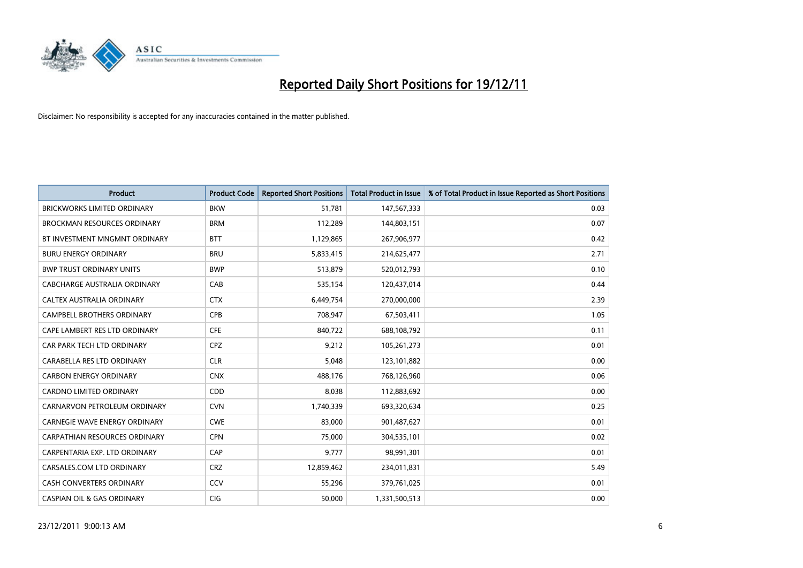

| <b>Product</b>                        | <b>Product Code</b> | <b>Reported Short Positions</b> | <b>Total Product in Issue</b> | % of Total Product in Issue Reported as Short Positions |
|---------------------------------------|---------------------|---------------------------------|-------------------------------|---------------------------------------------------------|
| <b>BRICKWORKS LIMITED ORDINARY</b>    | <b>BKW</b>          | 51,781                          | 147,567,333                   | 0.03                                                    |
| <b>BROCKMAN RESOURCES ORDINARY</b>    | <b>BRM</b>          | 112,289                         | 144,803,151                   | 0.07                                                    |
| BT INVESTMENT MNGMNT ORDINARY         | <b>BTT</b>          | 1,129,865                       | 267,906,977                   | 0.42                                                    |
| <b>BURU ENERGY ORDINARY</b>           | <b>BRU</b>          | 5,833,415                       | 214,625,477                   | 2.71                                                    |
| <b>BWP TRUST ORDINARY UNITS</b>       | <b>BWP</b>          | 513,879                         | 520,012,793                   | 0.10                                                    |
| CABCHARGE AUSTRALIA ORDINARY          | CAB                 | 535,154                         | 120,437,014                   | 0.44                                                    |
| <b>CALTEX AUSTRALIA ORDINARY</b>      | <b>CTX</b>          | 6,449,754                       | 270,000,000                   | 2.39                                                    |
| <b>CAMPBELL BROTHERS ORDINARY</b>     | <b>CPB</b>          | 708,947                         | 67,503,411                    | 1.05                                                    |
| CAPE LAMBERT RES LTD ORDINARY         | <b>CFE</b>          | 840,722                         | 688,108,792                   | 0.11                                                    |
| CAR PARK TECH LTD ORDINARY            | <b>CPZ</b>          | 9,212                           | 105,261,273                   | 0.01                                                    |
| CARABELLA RES LTD ORDINARY            | <b>CLR</b>          | 5,048                           | 123,101,882                   | 0.00                                                    |
| <b>CARBON ENERGY ORDINARY</b>         | <b>CNX</b>          | 488,176                         | 768,126,960                   | 0.06                                                    |
| <b>CARDNO LIMITED ORDINARY</b>        | CDD                 | 8,038                           | 112,883,692                   | 0.00                                                    |
| CARNARVON PETROLEUM ORDINARY          | <b>CVN</b>          | 1,740,339                       | 693,320,634                   | 0.25                                                    |
| <b>CARNEGIE WAVE ENERGY ORDINARY</b>  | <b>CWE</b>          | 83,000                          | 901,487,627                   | 0.01                                                    |
| CARPATHIAN RESOURCES ORDINARY         | <b>CPN</b>          | 75,000                          | 304,535,101                   | 0.02                                                    |
| CARPENTARIA EXP. LTD ORDINARY         | CAP                 | 9,777                           | 98,991,301                    | 0.01                                                    |
| CARSALES.COM LTD ORDINARY             | <b>CRZ</b>          | 12,859,462                      | 234,011,831                   | 5.49                                                    |
| <b>CASH CONVERTERS ORDINARY</b>       | CCV                 | 55,296                          | 379,761,025                   | 0.01                                                    |
| <b>CASPIAN OIL &amp; GAS ORDINARY</b> | <b>CIG</b>          | 50,000                          | 1,331,500,513                 | 0.00                                                    |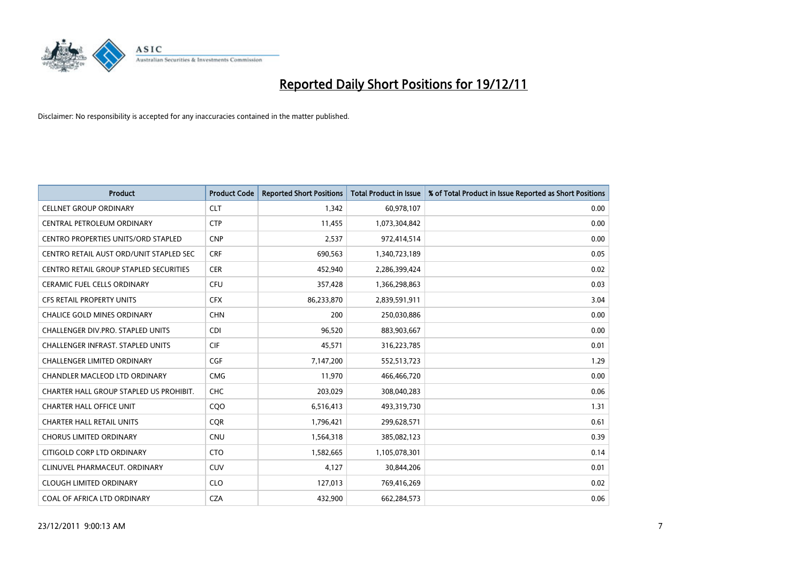

| <b>Product</b>                             | <b>Product Code</b> | <b>Reported Short Positions</b> | <b>Total Product in Issue</b> | % of Total Product in Issue Reported as Short Positions |
|--------------------------------------------|---------------------|---------------------------------|-------------------------------|---------------------------------------------------------|
| <b>CELLNET GROUP ORDINARY</b>              | <b>CLT</b>          | 1,342                           | 60,978,107                    | 0.00                                                    |
| CENTRAL PETROLEUM ORDINARY                 | <b>CTP</b>          | 11,455                          | 1,073,304,842                 | 0.00                                                    |
| <b>CENTRO PROPERTIES UNITS/ORD STAPLED</b> | <b>CNP</b>          | 2,537                           | 972,414,514                   | 0.00                                                    |
| CENTRO RETAIL AUST ORD/UNIT STAPLED SEC    | <b>CRF</b>          | 690,563                         | 1,340,723,189                 | 0.05                                                    |
| CENTRO RETAIL GROUP STAPLED SECURITIES     | <b>CER</b>          | 452,940                         | 2,286,399,424                 | 0.02                                                    |
| <b>CERAMIC FUEL CELLS ORDINARY</b>         | <b>CFU</b>          | 357,428                         | 1,366,298,863                 | 0.03                                                    |
| <b>CFS RETAIL PROPERTY UNITS</b>           | <b>CFX</b>          | 86,233,870                      | 2,839,591,911                 | 3.04                                                    |
| <b>CHALICE GOLD MINES ORDINARY</b>         | <b>CHN</b>          | 200                             | 250,030,886                   | 0.00                                                    |
| CHALLENGER DIV.PRO. STAPLED UNITS          | <b>CDI</b>          | 96,520                          | 883,903,667                   | 0.00                                                    |
| <b>CHALLENGER INFRAST, STAPLED UNITS</b>   | <b>CIF</b>          | 45,571                          | 316,223,785                   | 0.01                                                    |
| <b>CHALLENGER LIMITED ORDINARY</b>         | <b>CGF</b>          | 7,147,200                       | 552,513,723                   | 1.29                                                    |
| <b>CHANDLER MACLEOD LTD ORDINARY</b>       | <b>CMG</b>          | 11,970                          | 466,466,720                   | 0.00                                                    |
| CHARTER HALL GROUP STAPLED US PROHIBIT.    | <b>CHC</b>          | 203,029                         | 308,040,283                   | 0.06                                                    |
| <b>CHARTER HALL OFFICE UNIT</b>            | CQO                 | 6,516,413                       | 493,319,730                   | 1.31                                                    |
| <b>CHARTER HALL RETAIL UNITS</b>           | <b>COR</b>          | 1,796,421                       | 299,628,571                   | 0.61                                                    |
| <b>CHORUS LIMITED ORDINARY</b>             | <b>CNU</b>          | 1,564,318                       | 385,082,123                   | 0.39                                                    |
| CITIGOLD CORP LTD ORDINARY                 | <b>CTO</b>          | 1,582,665                       | 1,105,078,301                 | 0.14                                                    |
| CLINUVEL PHARMACEUT. ORDINARY              | <b>CUV</b>          | 4,127                           | 30,844,206                    | 0.01                                                    |
| <b>CLOUGH LIMITED ORDINARY</b>             | <b>CLO</b>          | 127,013                         | 769,416,269                   | 0.02                                                    |
| COAL OF AFRICA LTD ORDINARY                | <b>CZA</b>          | 432.900                         | 662,284,573                   | 0.06                                                    |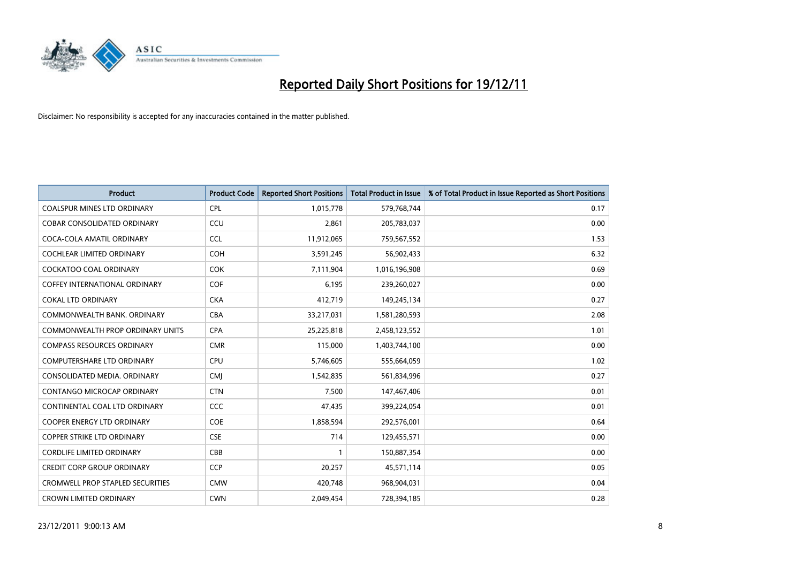

| <b>Product</b>                          | <b>Product Code</b> | <b>Reported Short Positions</b> | <b>Total Product in Issue</b> | % of Total Product in Issue Reported as Short Positions |
|-----------------------------------------|---------------------|---------------------------------|-------------------------------|---------------------------------------------------------|
| <b>COALSPUR MINES LTD ORDINARY</b>      | <b>CPL</b>          | 1,015,778                       | 579,768,744                   | 0.17                                                    |
| COBAR CONSOLIDATED ORDINARY             | CCU                 | 2,861                           | 205,783,037                   | 0.00                                                    |
| COCA-COLA AMATIL ORDINARY               | <b>CCL</b>          | 11,912,065                      | 759,567,552                   | 1.53                                                    |
| COCHLEAR LIMITED ORDINARY               | <b>COH</b>          | 3,591,245                       | 56,902,433                    | 6.32                                                    |
| <b>COCKATOO COAL ORDINARY</b>           | <b>COK</b>          | 7,111,904                       | 1,016,196,908                 | 0.69                                                    |
| COFFEY INTERNATIONAL ORDINARY           | <b>COF</b>          | 6,195                           | 239,260,027                   | 0.00                                                    |
| <b>COKAL LTD ORDINARY</b>               | <b>CKA</b>          | 412,719                         | 149,245,134                   | 0.27                                                    |
| COMMONWEALTH BANK, ORDINARY             | <b>CBA</b>          | 33,217,031                      | 1,581,280,593                 | 2.08                                                    |
| COMMONWEALTH PROP ORDINARY UNITS        | <b>CPA</b>          | 25,225,818                      | 2,458,123,552                 | 1.01                                                    |
| <b>COMPASS RESOURCES ORDINARY</b>       | <b>CMR</b>          | 115,000                         | 1,403,744,100                 | 0.00                                                    |
| COMPUTERSHARE LTD ORDINARY              | <b>CPU</b>          | 5,746,605                       | 555,664,059                   | 1.02                                                    |
| CONSOLIDATED MEDIA, ORDINARY            | <b>CMI</b>          | 1,542,835                       | 561,834,996                   | 0.27                                                    |
| CONTANGO MICROCAP ORDINARY              | <b>CTN</b>          | 7,500                           | 147,467,406                   | 0.01                                                    |
| CONTINENTAL COAL LTD ORDINARY           | <b>CCC</b>          | 47,435                          | 399,224,054                   | 0.01                                                    |
| <b>COOPER ENERGY LTD ORDINARY</b>       | COE                 | 1,858,594                       | 292,576,001                   | 0.64                                                    |
| COPPER STRIKE LTD ORDINARY              | <b>CSE</b>          | 714                             | 129,455,571                   | 0.00                                                    |
| <b>CORDLIFE LIMITED ORDINARY</b>        | CBB                 |                                 | 150,887,354                   | 0.00                                                    |
| <b>CREDIT CORP GROUP ORDINARY</b>       | <b>CCP</b>          | 20,257                          | 45,571,114                    | 0.05                                                    |
| <b>CROMWELL PROP STAPLED SECURITIES</b> | <b>CMW</b>          | 420,748                         | 968,904,031                   | 0.04                                                    |
| <b>CROWN LIMITED ORDINARY</b>           | <b>CWN</b>          | 2,049,454                       | 728,394,185                   | 0.28                                                    |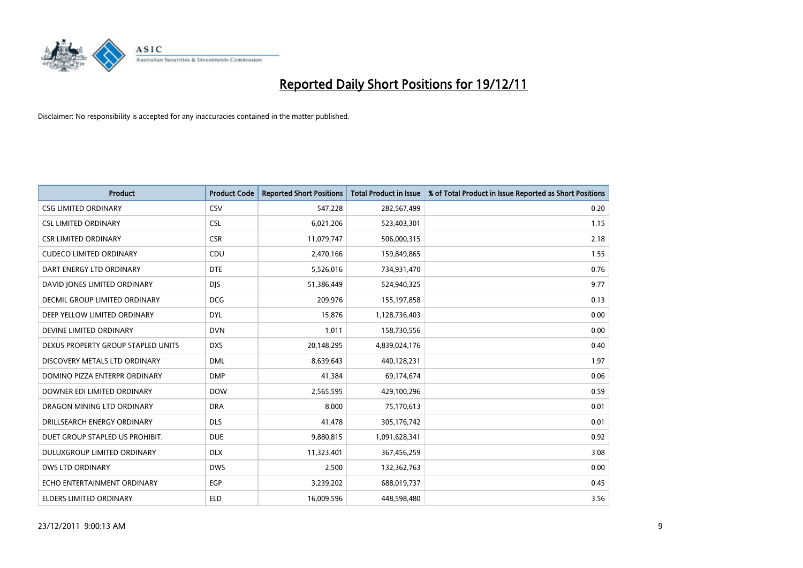

| <b>Product</b>                       | <b>Product Code</b> | <b>Reported Short Positions</b> | <b>Total Product in Issue</b> | % of Total Product in Issue Reported as Short Positions |
|--------------------------------------|---------------------|---------------------------------|-------------------------------|---------------------------------------------------------|
| <b>CSG LIMITED ORDINARY</b>          | CSV                 | 547,228                         | 282,567,499                   | 0.20                                                    |
| <b>CSL LIMITED ORDINARY</b>          | <b>CSL</b>          | 6,021,206                       | 523,403,301                   | 1.15                                                    |
| <b>CSR LIMITED ORDINARY</b>          | <b>CSR</b>          | 11,079,747                      | 506,000,315                   | 2.18                                                    |
| <b>CUDECO LIMITED ORDINARY</b>       | CDU                 | 2,470,166                       | 159,849,865                   | 1.55                                                    |
| DART ENERGY LTD ORDINARY             | <b>DTE</b>          | 5,526,016                       | 734,931,470                   | 0.76                                                    |
| DAVID JONES LIMITED ORDINARY         | <b>DJS</b>          | 51,386,449                      | 524,940,325                   | 9.77                                                    |
| <b>DECMIL GROUP LIMITED ORDINARY</b> | <b>DCG</b>          | 209,976                         | 155,197,858                   | 0.13                                                    |
| DEEP YELLOW LIMITED ORDINARY         | <b>DYL</b>          | 15,876                          | 1,128,736,403                 | 0.00                                                    |
| DEVINE LIMITED ORDINARY              | <b>DVN</b>          | 1,011                           | 158,730,556                   | 0.00                                                    |
| DEXUS PROPERTY GROUP STAPLED UNITS   | <b>DXS</b>          | 20,148,295                      | 4,839,024,176                 | 0.40                                                    |
| DISCOVERY METALS LTD ORDINARY        | <b>DML</b>          | 8,639,643                       | 440,128,231                   | 1.97                                                    |
| DOMINO PIZZA ENTERPR ORDINARY        | <b>DMP</b>          | 41,384                          | 69,174,674                    | 0.06                                                    |
| DOWNER EDI LIMITED ORDINARY          | <b>DOW</b>          | 2,565,595                       | 429,100,296                   | 0.59                                                    |
| DRAGON MINING LTD ORDINARY           | <b>DRA</b>          | 8,000                           | 75,170,613                    | 0.01                                                    |
| DRILLSEARCH ENERGY ORDINARY          | <b>DLS</b>          | 41,478                          | 305,176,742                   | 0.01                                                    |
| DUET GROUP STAPLED US PROHIBIT.      | <b>DUE</b>          | 9,880,815                       | 1,091,628,341                 | 0.92                                                    |
| DULUXGROUP LIMITED ORDINARY          | <b>DLX</b>          | 11,323,401                      | 367,456,259                   | 3.08                                                    |
| <b>DWS LTD ORDINARY</b>              | <b>DWS</b>          | 2,500                           | 132,362,763                   | 0.00                                                    |
| ECHO ENTERTAINMENT ORDINARY          | <b>EGP</b>          | 3,239,202                       | 688,019,737                   | 0.45                                                    |
| ELDERS LIMITED ORDINARY              | <b>ELD</b>          | 16,009,596                      | 448,598,480                   | 3.56                                                    |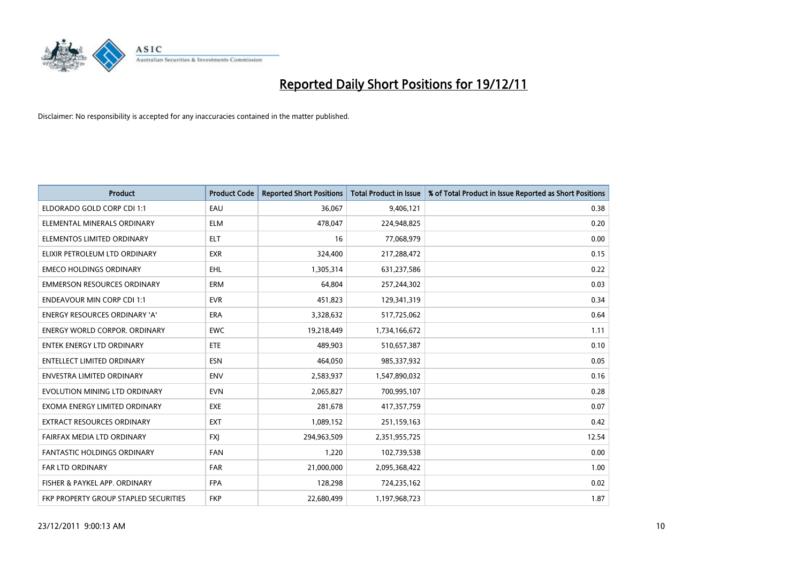

| <b>Product</b>                        | <b>Product Code</b> | <b>Reported Short Positions</b> | <b>Total Product in Issue</b> | % of Total Product in Issue Reported as Short Positions |
|---------------------------------------|---------------------|---------------------------------|-------------------------------|---------------------------------------------------------|
| ELDORADO GOLD CORP CDI 1:1            | EAU                 | 36,067                          | 9,406,121                     | 0.38                                                    |
| ELEMENTAL MINERALS ORDINARY           | <b>ELM</b>          | 478,047                         | 224,948,825                   | 0.20                                                    |
| ELEMENTOS LIMITED ORDINARY            | <b>ELT</b>          | 16                              | 77,068,979                    | 0.00                                                    |
| ELIXIR PETROLEUM LTD ORDINARY         | <b>EXR</b>          | 324,400                         | 217,288,472                   | 0.15                                                    |
| <b>EMECO HOLDINGS ORDINARY</b>        | <b>EHL</b>          | 1,305,314                       | 631,237,586                   | 0.22                                                    |
| <b>EMMERSON RESOURCES ORDINARY</b>    | <b>ERM</b>          | 64.804                          | 257,244,302                   | 0.03                                                    |
| <b>ENDEAVOUR MIN CORP CDI 1:1</b>     | <b>EVR</b>          | 451,823                         | 129,341,319                   | 0.34                                                    |
| ENERGY RESOURCES ORDINARY 'A'         | <b>ERA</b>          | 3,328,632                       | 517,725,062                   | 0.64                                                    |
| <b>ENERGY WORLD CORPOR, ORDINARY</b>  | <b>EWC</b>          | 19,218,449                      | 1,734,166,672                 | 1.11                                                    |
| <b>ENTEK ENERGY LTD ORDINARY</b>      | <b>ETE</b>          | 489,903                         | 510,657,387                   | 0.10                                                    |
| ENTELLECT LIMITED ORDINARY            | <b>ESN</b>          | 464,050                         | 985,337,932                   | 0.05                                                    |
| <b>ENVESTRA LIMITED ORDINARY</b>      | <b>ENV</b>          | 2,583,937                       | 1,547,890,032                 | 0.16                                                    |
| EVOLUTION MINING LTD ORDINARY         | <b>EVN</b>          | 2,065,827                       | 700,995,107                   | 0.28                                                    |
| EXOMA ENERGY LIMITED ORDINARY         | <b>EXE</b>          | 281,678                         | 417,357,759                   | 0.07                                                    |
| <b>EXTRACT RESOURCES ORDINARY</b>     | EXT                 | 1,089,152                       | 251,159,163                   | 0.42                                                    |
| FAIRFAX MEDIA LTD ORDINARY            | <b>FXI</b>          | 294,963,509                     | 2,351,955,725                 | 12.54                                                   |
| FANTASTIC HOLDINGS ORDINARY           | <b>FAN</b>          | 1,220                           | 102,739,538                   | 0.00                                                    |
| <b>FAR LTD ORDINARY</b>               | <b>FAR</b>          | 21,000,000                      | 2,095,368,422                 | 1.00                                                    |
| FISHER & PAYKEL APP. ORDINARY         | <b>FPA</b>          | 128,298                         | 724,235,162                   | 0.02                                                    |
| FKP PROPERTY GROUP STAPLED SECURITIES | <b>FKP</b>          | 22,680,499                      | 1,197,968,723                 | 1.87                                                    |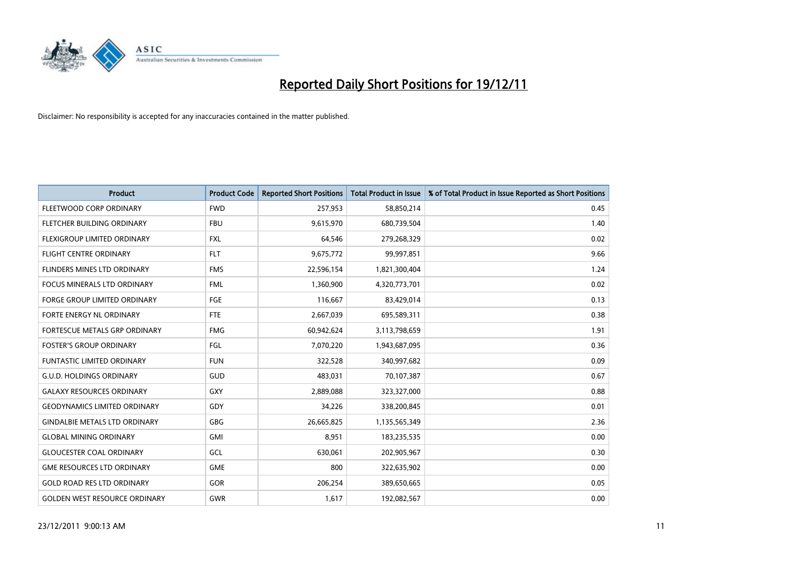

| <b>Product</b>                       | <b>Product Code</b> | <b>Reported Short Positions</b> | <b>Total Product in Issue</b> | % of Total Product in Issue Reported as Short Positions |
|--------------------------------------|---------------------|---------------------------------|-------------------------------|---------------------------------------------------------|
| FLEETWOOD CORP ORDINARY              | <b>FWD</b>          | 257,953                         | 58,850,214                    | 0.45                                                    |
| FLETCHER BUILDING ORDINARY           | <b>FBU</b>          | 9,615,970                       | 680,739,504                   | 1.40                                                    |
| <b>FLEXIGROUP LIMITED ORDINARY</b>   | <b>FXL</b>          | 64,546                          | 279,268,329                   | 0.02                                                    |
| <b>FLIGHT CENTRE ORDINARY</b>        | <b>FLT</b>          | 9,675,772                       | 99,997,851                    | 9.66                                                    |
| <b>FLINDERS MINES LTD ORDINARY</b>   | <b>FMS</b>          | 22,596,154                      | 1,821,300,404                 | 1.24                                                    |
| <b>FOCUS MINERALS LTD ORDINARY</b>   | <b>FML</b>          | 1,360,900                       | 4,320,773,701                 | 0.02                                                    |
| <b>FORGE GROUP LIMITED ORDINARY</b>  | FGE                 | 116,667                         | 83,429,014                    | 0.13                                                    |
| FORTE ENERGY NL ORDINARY             | <b>FTE</b>          | 2,667,039                       | 695,589,311                   | 0.38                                                    |
| <b>FORTESCUE METALS GRP ORDINARY</b> | <b>FMG</b>          | 60,942,624                      | 3,113,798,659                 | 1.91                                                    |
| <b>FOSTER'S GROUP ORDINARY</b>       | FGL                 | 7,070,220                       | 1,943,687,095                 | 0.36                                                    |
| <b>FUNTASTIC LIMITED ORDINARY</b>    | <b>FUN</b>          | 322,528                         | 340,997,682                   | 0.09                                                    |
| G.U.D. HOLDINGS ORDINARY             | GUD                 | 483,031                         | 70,107,387                    | 0.67                                                    |
| <b>GALAXY RESOURCES ORDINARY</b>     | <b>GXY</b>          | 2,889,088                       | 323,327,000                   | 0.88                                                    |
| <b>GEODYNAMICS LIMITED ORDINARY</b>  | GDY                 | 34,226                          | 338,200,845                   | 0.01                                                    |
| <b>GINDALBIE METALS LTD ORDINARY</b> | <b>GBG</b>          | 26,665,825                      | 1,135,565,349                 | 2.36                                                    |
| <b>GLOBAL MINING ORDINARY</b>        | <b>GMI</b>          | 8,951                           | 183,235,535                   | 0.00                                                    |
| <b>GLOUCESTER COAL ORDINARY</b>      | GCL                 | 630,061                         | 202,905,967                   | 0.30                                                    |
| <b>GME RESOURCES LTD ORDINARY</b>    | <b>GME</b>          | 800                             | 322,635,902                   | 0.00                                                    |
| <b>GOLD ROAD RES LTD ORDINARY</b>    | <b>GOR</b>          | 206,254                         | 389,650,665                   | 0.05                                                    |
| <b>GOLDEN WEST RESOURCE ORDINARY</b> | <b>GWR</b>          | 1,617                           | 192,082,567                   | 0.00                                                    |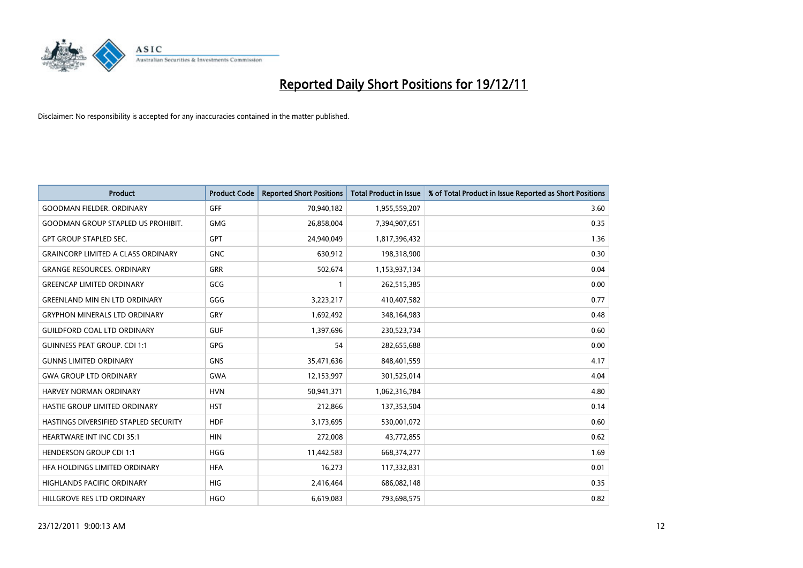

| <b>Product</b>                            | <b>Product Code</b> | <b>Reported Short Positions</b> | <b>Total Product in Issue</b> | % of Total Product in Issue Reported as Short Positions |
|-------------------------------------------|---------------------|---------------------------------|-------------------------------|---------------------------------------------------------|
| <b>GOODMAN FIELDER, ORDINARY</b>          | <b>GFF</b>          | 70,940,182                      | 1,955,559,207                 | 3.60                                                    |
| <b>GOODMAN GROUP STAPLED US PROHIBIT.</b> | <b>GMG</b>          | 26,858,004                      | 7,394,907,651                 | 0.35                                                    |
| <b>GPT GROUP STAPLED SEC.</b>             | <b>GPT</b>          | 24,940,049                      | 1,817,396,432                 | 1.36                                                    |
| <b>GRAINCORP LIMITED A CLASS ORDINARY</b> | <b>GNC</b>          | 630,912                         | 198,318,900                   | 0.30                                                    |
| <b>GRANGE RESOURCES, ORDINARY</b>         | <b>GRR</b>          | 502,674                         | 1,153,937,134                 | 0.04                                                    |
| <b>GREENCAP LIMITED ORDINARY</b>          | GCG                 |                                 | 262,515,385                   | 0.00                                                    |
| <b>GREENLAND MIN EN LTD ORDINARY</b>      | GGG                 | 3,223,217                       | 410,407,582                   | 0.77                                                    |
| <b>GRYPHON MINERALS LTD ORDINARY</b>      | GRY                 | 1,692,492                       | 348,164,983                   | 0.48                                                    |
| <b>GUILDFORD COAL LTD ORDINARY</b>        | <b>GUF</b>          | 1,397,696                       | 230,523,734                   | 0.60                                                    |
| <b>GUINNESS PEAT GROUP. CDI 1:1</b>       | <b>GPG</b>          | 54                              | 282,655,688                   | 0.00                                                    |
| <b>GUNNS LIMITED ORDINARY</b>             | <b>GNS</b>          | 35,471,636                      | 848,401,559                   | 4.17                                                    |
| <b>GWA GROUP LTD ORDINARY</b>             | <b>GWA</b>          | 12,153,997                      | 301,525,014                   | 4.04                                                    |
| HARVEY NORMAN ORDINARY                    | <b>HVN</b>          | 50,941,371                      | 1,062,316,784                 | 4.80                                                    |
| HASTIE GROUP LIMITED ORDINARY             | <b>HST</b>          | 212,866                         | 137,353,504                   | 0.14                                                    |
| HASTINGS DIVERSIFIED STAPLED SECURITY     | <b>HDF</b>          | 3,173,695                       | 530,001,072                   | 0.60                                                    |
| HEARTWARE INT INC CDI 35:1                | <b>HIN</b>          | 272,008                         | 43,772,855                    | 0.62                                                    |
| <b>HENDERSON GROUP CDI 1:1</b>            | <b>HGG</b>          | 11,442,583                      | 668,374,277                   | 1.69                                                    |
| HFA HOLDINGS LIMITED ORDINARY             | <b>HFA</b>          | 16,273                          | 117,332,831                   | 0.01                                                    |
| <b>HIGHLANDS PACIFIC ORDINARY</b>         | <b>HIG</b>          | 2,416,464                       | 686,082,148                   | 0.35                                                    |
| HILLGROVE RES LTD ORDINARY                | <b>HGO</b>          | 6,619,083                       | 793,698,575                   | 0.82                                                    |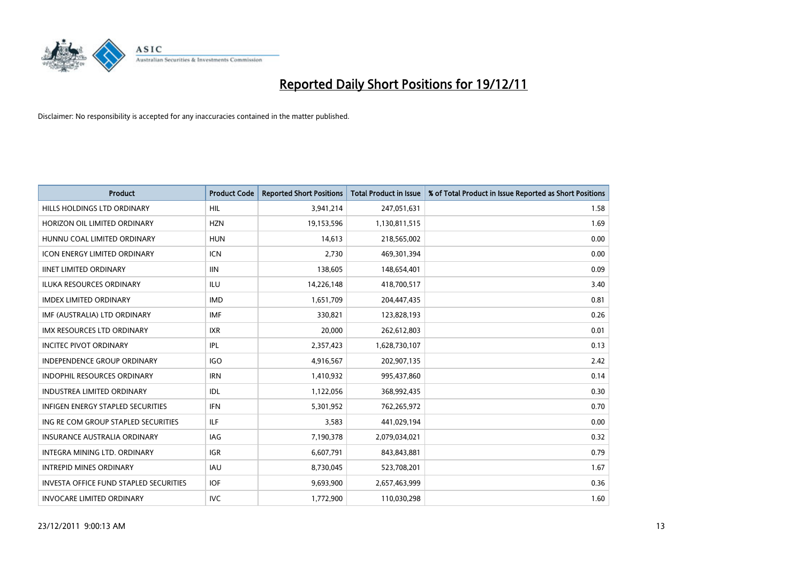

| <b>Product</b>                                | <b>Product Code</b> | <b>Reported Short Positions</b> | <b>Total Product in Issue</b> | % of Total Product in Issue Reported as Short Positions |
|-----------------------------------------------|---------------------|---------------------------------|-------------------------------|---------------------------------------------------------|
| <b>HILLS HOLDINGS LTD ORDINARY</b>            | <b>HIL</b>          | 3,941,214                       | 247,051,631                   | 1.58                                                    |
| HORIZON OIL LIMITED ORDINARY                  | <b>HZN</b>          | 19,153,596                      | 1,130,811,515                 | 1.69                                                    |
| HUNNU COAL LIMITED ORDINARY                   | <b>HUN</b>          | 14.613                          | 218,565,002                   | 0.00                                                    |
| ICON ENERGY LIMITED ORDINARY                  | <b>ICN</b>          | 2,730                           | 469,301,394                   | 0.00                                                    |
| <b>IINET LIMITED ORDINARY</b>                 | <b>IIN</b>          | 138,605                         | 148,654,401                   | 0.09                                                    |
| <b>ILUKA RESOURCES ORDINARY</b>               | ILU                 | 14,226,148                      | 418,700,517                   | 3.40                                                    |
| <b>IMDEX LIMITED ORDINARY</b>                 | <b>IMD</b>          | 1,651,709                       | 204,447,435                   | 0.81                                                    |
| IMF (AUSTRALIA) LTD ORDINARY                  | <b>IMF</b>          | 330,821                         | 123,828,193                   | 0.26                                                    |
| IMX RESOURCES LTD ORDINARY                    | <b>IXR</b>          | 20,000                          | 262,612,803                   | 0.01                                                    |
| <b>INCITEC PIVOT ORDINARY</b>                 | IPL                 | 2,357,423                       | 1,628,730,107                 | 0.13                                                    |
| <b>INDEPENDENCE GROUP ORDINARY</b>            | <b>IGO</b>          | 4,916,567                       | 202,907,135                   | 2.42                                                    |
| <b>INDOPHIL RESOURCES ORDINARY</b>            | <b>IRN</b>          | 1,410,932                       | 995,437,860                   | 0.14                                                    |
| <b>INDUSTREA LIMITED ORDINARY</b>             | IDL                 | 1,122,056                       | 368,992,435                   | 0.30                                                    |
| <b>INFIGEN ENERGY STAPLED SECURITIES</b>      | <b>IFN</b>          | 5,301,952                       | 762,265,972                   | 0.70                                                    |
| ING RE COM GROUP STAPLED SECURITIES           | ILF.                | 3,583                           | 441,029,194                   | 0.00                                                    |
| INSURANCE AUSTRALIA ORDINARY                  | IAG                 | 7,190,378                       | 2,079,034,021                 | 0.32                                                    |
| <b>INTEGRA MINING LTD, ORDINARY</b>           | <b>IGR</b>          | 6,607,791                       | 843,843,881                   | 0.79                                                    |
| <b>INTREPID MINES ORDINARY</b>                | <b>IAU</b>          | 8,730,045                       | 523,708,201                   | 1.67                                                    |
| <b>INVESTA OFFICE FUND STAPLED SECURITIES</b> | <b>IOF</b>          | 9,693,900                       | 2,657,463,999                 | 0.36                                                    |
| <b>INVOCARE LIMITED ORDINARY</b>              | <b>IVC</b>          | 1,772,900                       | 110,030,298                   | 1.60                                                    |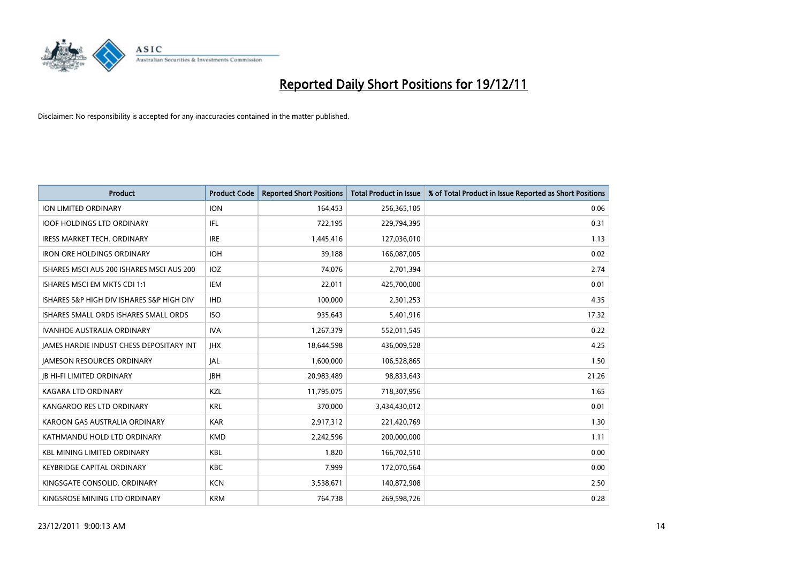

| <b>Product</b>                                  | <b>Product Code</b> | <b>Reported Short Positions</b> | <b>Total Product in Issue</b> | % of Total Product in Issue Reported as Short Positions |
|-------------------------------------------------|---------------------|---------------------------------|-------------------------------|---------------------------------------------------------|
| <b>ION LIMITED ORDINARY</b>                     | <b>ION</b>          | 164,453                         | 256,365,105                   | 0.06                                                    |
| <b>IOOF HOLDINGS LTD ORDINARY</b>               | IFL                 | 722,195                         | 229,794,395                   | 0.31                                                    |
| <b>IRESS MARKET TECH. ORDINARY</b>              | <b>IRE</b>          | 1,445,416                       | 127,036,010                   | 1.13                                                    |
| <b>IRON ORE HOLDINGS ORDINARY</b>               | <b>IOH</b>          | 39,188                          | 166,087,005                   | 0.02                                                    |
| ISHARES MSCI AUS 200 ISHARES MSCI AUS 200       | <b>IOZ</b>          | 74,076                          | 2,701,394                     | 2.74                                                    |
| ISHARES MSCI EM MKTS CDI 1:1                    | IEM                 | 22,011                          | 425,700,000                   | 0.01                                                    |
| ISHARES S&P HIGH DIV ISHARES S&P HIGH DIV       | <b>IHD</b>          | 100,000                         | 2,301,253                     | 4.35                                                    |
| ISHARES SMALL ORDS ISHARES SMALL ORDS           | <b>ISO</b>          | 935,643                         | 5,401,916                     | 17.32                                                   |
| <b>IVANHOE AUSTRALIA ORDINARY</b>               | <b>IVA</b>          | 1,267,379                       | 552,011,545                   | 0.22                                                    |
| <b>JAMES HARDIE INDUST CHESS DEPOSITARY INT</b> | <b>IHX</b>          | 18,644,598                      | 436,009,528                   | 4.25                                                    |
| <b>JAMESON RESOURCES ORDINARY</b>               | <b>JAL</b>          | 1,600,000                       | 106,528,865                   | 1.50                                                    |
| <b>JB HI-FI LIMITED ORDINARY</b>                | <b>IBH</b>          | 20,983,489                      | 98,833,643                    | 21.26                                                   |
| KAGARA LTD ORDINARY                             | <b>KZL</b>          | 11,795,075                      | 718,307,956                   | 1.65                                                    |
| KANGAROO RES LTD ORDINARY                       | <b>KRL</b>          | 370,000                         | 3,434,430,012                 | 0.01                                                    |
| KAROON GAS AUSTRALIA ORDINARY                   | <b>KAR</b>          | 2,917,312                       | 221,420,769                   | 1.30                                                    |
| KATHMANDU HOLD LTD ORDINARY                     | <b>KMD</b>          | 2,242,596                       | 200,000,000                   | 1.11                                                    |
| <b>KBL MINING LIMITED ORDINARY</b>              | <b>KBL</b>          | 1,820                           | 166,702,510                   | 0.00                                                    |
| <b>KEYBRIDGE CAPITAL ORDINARY</b>               | <b>KBC</b>          | 7,999                           | 172,070,564                   | 0.00                                                    |
| KINGSGATE CONSOLID. ORDINARY                    | <b>KCN</b>          | 3,538,671                       | 140,872,908                   | 2.50                                                    |
| KINGSROSE MINING LTD ORDINARY                   | <b>KRM</b>          | 764,738                         | 269,598,726                   | 0.28                                                    |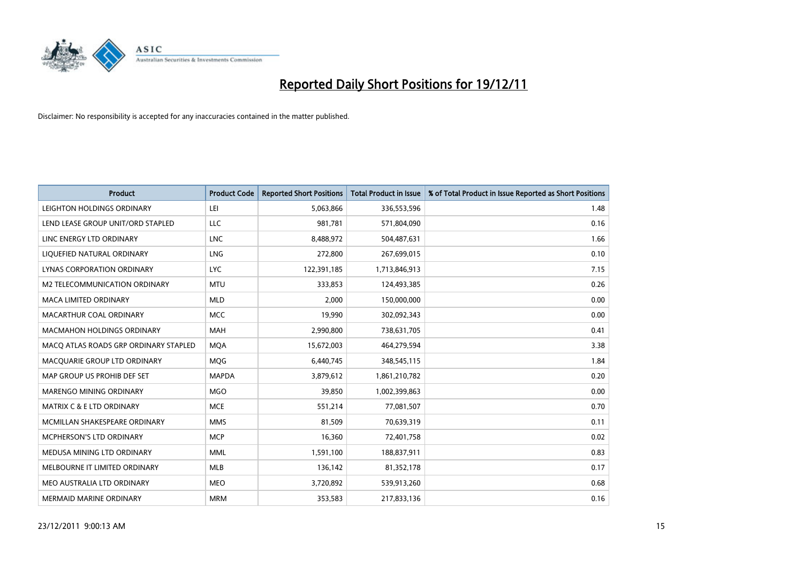

| <b>Product</b>                        | <b>Product Code</b> | <b>Reported Short Positions</b> | <b>Total Product in Issue</b> | % of Total Product in Issue Reported as Short Positions |
|---------------------------------------|---------------------|---------------------------------|-------------------------------|---------------------------------------------------------|
| LEIGHTON HOLDINGS ORDINARY            | LEI                 | 5,063,866                       | 336,553,596                   | 1.48                                                    |
| LEND LEASE GROUP UNIT/ORD STAPLED     | LLC                 | 981,781                         | 571,804,090                   | 0.16                                                    |
| LINC ENERGY LTD ORDINARY              | <b>LNC</b>          | 8,488,972                       | 504,487,631                   | 1.66                                                    |
| LIQUEFIED NATURAL ORDINARY            | <b>LNG</b>          | 272,800                         | 267,699,015                   | 0.10                                                    |
| <b>LYNAS CORPORATION ORDINARY</b>     | LYC.                | 122,391,185                     | 1,713,846,913                 | 7.15                                                    |
| M2 TELECOMMUNICATION ORDINARY         | <b>MTU</b>          | 333,853                         | 124,493,385                   | 0.26                                                    |
| <b>MACA LIMITED ORDINARY</b>          | <b>MLD</b>          | 2,000                           | 150,000,000                   | 0.00                                                    |
| MACARTHUR COAL ORDINARY               | <b>MCC</b>          | 19,990                          | 302,092,343                   | 0.00                                                    |
| <b>MACMAHON HOLDINGS ORDINARY</b>     | <b>MAH</b>          | 2,990,800                       | 738,631,705                   | 0.41                                                    |
| MACO ATLAS ROADS GRP ORDINARY STAPLED | <b>MOA</b>          | 15,672,003                      | 464,279,594                   | 3.38                                                    |
| MACQUARIE GROUP LTD ORDINARY          | <b>MOG</b>          | 6,440,745                       | 348,545,115                   | 1.84                                                    |
| MAP GROUP US PROHIB DEF SET           | <b>MAPDA</b>        | 3,879,612                       | 1,861,210,782                 | 0.20                                                    |
| MARENGO MINING ORDINARY               | <b>MGO</b>          | 39,850                          | 1,002,399,863                 | 0.00                                                    |
| <b>MATRIX C &amp; E LTD ORDINARY</b>  | <b>MCE</b>          | 551,214                         | 77,081,507                    | 0.70                                                    |
| MCMILLAN SHAKESPEARE ORDINARY         | <b>MMS</b>          | 81,509                          | 70,639,319                    | 0.11                                                    |
| MCPHERSON'S LTD ORDINARY              | <b>MCP</b>          | 16,360                          | 72,401,758                    | 0.02                                                    |
| MEDUSA MINING LTD ORDINARY            | <b>MML</b>          | 1,591,100                       | 188,837,911                   | 0.83                                                    |
| MELBOURNE IT LIMITED ORDINARY         | <b>MLB</b>          | 136,142                         | 81,352,178                    | 0.17                                                    |
| MEO AUSTRALIA LTD ORDINARY            | <b>MEO</b>          | 3,720,892                       | 539,913,260                   | 0.68                                                    |
| MERMAID MARINE ORDINARY               | <b>MRM</b>          | 353,583                         | 217,833,136                   | 0.16                                                    |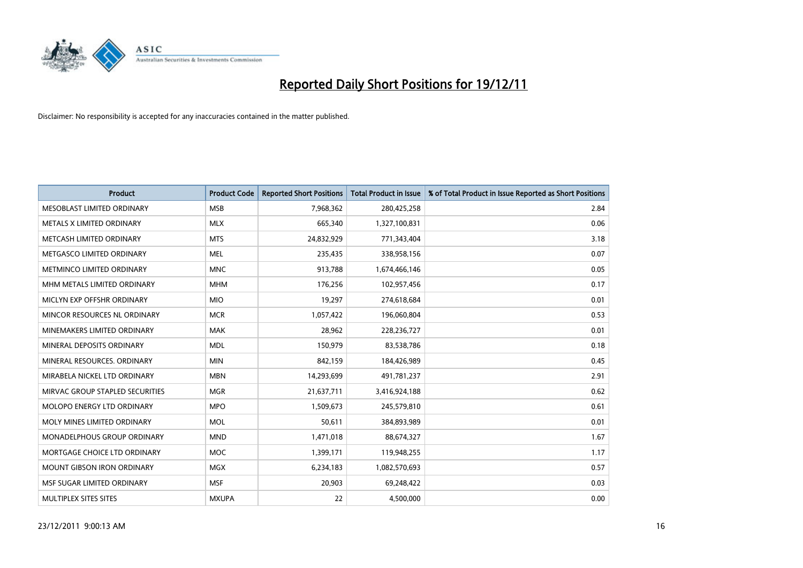

| <b>Product</b>                    | <b>Product Code</b> | <b>Reported Short Positions</b> | <b>Total Product in Issue</b> | % of Total Product in Issue Reported as Short Positions |
|-----------------------------------|---------------------|---------------------------------|-------------------------------|---------------------------------------------------------|
| MESOBLAST LIMITED ORDINARY        | <b>MSB</b>          | 7,968,362                       | 280,425,258                   | 2.84                                                    |
| METALS X LIMITED ORDINARY         | <b>MLX</b>          | 665,340                         | 1,327,100,831                 | 0.06                                                    |
| METCASH LIMITED ORDINARY          | <b>MTS</b>          | 24,832,929                      | 771,343,404                   | 3.18                                                    |
| METGASCO LIMITED ORDINARY         | <b>MEL</b>          | 235,435                         | 338,958,156                   | 0.07                                                    |
| METMINCO LIMITED ORDINARY         | <b>MNC</b>          | 913,788                         | 1,674,466,146                 | 0.05                                                    |
| MHM METALS LIMITED ORDINARY       | <b>MHM</b>          | 176,256                         | 102,957,456                   | 0.17                                                    |
| MICLYN EXP OFFSHR ORDINARY        | <b>MIO</b>          | 19,297                          | 274,618,684                   | 0.01                                                    |
| MINCOR RESOURCES NL ORDINARY      | <b>MCR</b>          | 1,057,422                       | 196,060,804                   | 0.53                                                    |
| MINEMAKERS LIMITED ORDINARY       | <b>MAK</b>          | 28,962                          | 228,236,727                   | 0.01                                                    |
| MINERAL DEPOSITS ORDINARY         | <b>MDL</b>          | 150,979                         | 83,538,786                    | 0.18                                                    |
| MINERAL RESOURCES. ORDINARY       | <b>MIN</b>          | 842,159                         | 184,426,989                   | 0.45                                                    |
| MIRABELA NICKEL LTD ORDINARY      | <b>MBN</b>          | 14,293,699                      | 491,781,237                   | 2.91                                                    |
| MIRVAC GROUP STAPLED SECURITIES   | <b>MGR</b>          | 21,637,711                      | 3,416,924,188                 | 0.62                                                    |
| <b>MOLOPO ENERGY LTD ORDINARY</b> | <b>MPO</b>          | 1,509,673                       | 245,579,810                   | 0.61                                                    |
| MOLY MINES LIMITED ORDINARY       | <b>MOL</b>          | 50,611                          | 384,893,989                   | 0.01                                                    |
| MONADELPHOUS GROUP ORDINARY       | <b>MND</b>          | 1,471,018                       | 88,674,327                    | 1.67                                                    |
| MORTGAGE CHOICE LTD ORDINARY      | <b>MOC</b>          | 1,399,171                       | 119,948,255                   | 1.17                                                    |
| <b>MOUNT GIBSON IRON ORDINARY</b> | <b>MGX</b>          | 6,234,183                       | 1,082,570,693                 | 0.57                                                    |
| MSF SUGAR LIMITED ORDINARY        | <b>MSF</b>          | 20,903                          | 69,248,422                    | 0.03                                                    |
| MULTIPLEX SITES SITES             | <b>MXUPA</b>        | 22                              | 4,500,000                     | 0.00                                                    |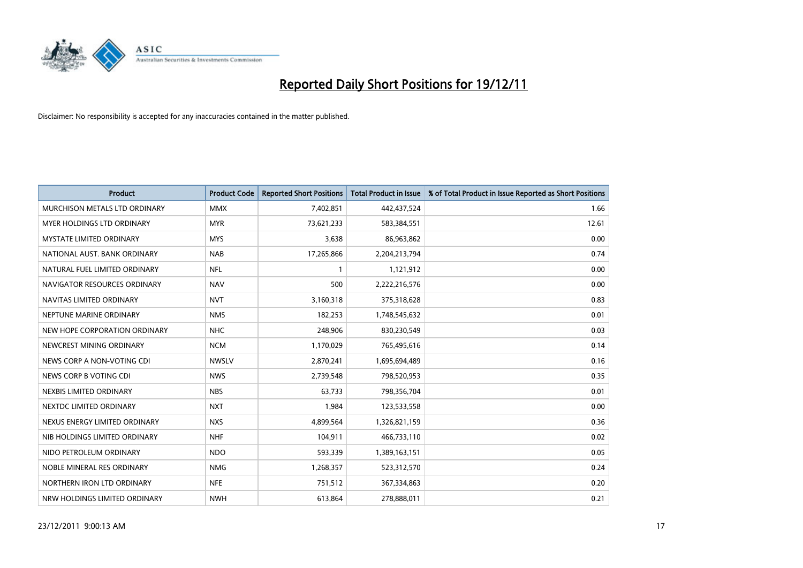

| <b>Product</b>                    | <b>Product Code</b> | <b>Reported Short Positions</b> | <b>Total Product in Issue</b> | % of Total Product in Issue Reported as Short Positions |
|-----------------------------------|---------------------|---------------------------------|-------------------------------|---------------------------------------------------------|
| MURCHISON METALS LTD ORDINARY     | <b>MMX</b>          | 7,402,851                       | 442,437,524                   | 1.66                                                    |
| <b>MYER HOLDINGS LTD ORDINARY</b> | <b>MYR</b>          | 73,621,233                      | 583,384,551                   | 12.61                                                   |
| <b>MYSTATE LIMITED ORDINARY</b>   | <b>MYS</b>          | 3,638                           | 86,963,862                    | 0.00                                                    |
| NATIONAL AUST. BANK ORDINARY      | <b>NAB</b>          | 17,265,866                      | 2,204,213,794                 | 0.74                                                    |
| NATURAL FUEL LIMITED ORDINARY     | <b>NFL</b>          |                                 | 1,121,912                     | 0.00                                                    |
| NAVIGATOR RESOURCES ORDINARY      | <b>NAV</b>          | 500                             | 2,222,216,576                 | 0.00                                                    |
| NAVITAS LIMITED ORDINARY          | <b>NVT</b>          | 3,160,318                       | 375,318,628                   | 0.83                                                    |
| NEPTUNE MARINE ORDINARY           | <b>NMS</b>          | 182,253                         | 1,748,545,632                 | 0.01                                                    |
| NEW HOPE CORPORATION ORDINARY     | <b>NHC</b>          | 248,906                         | 830,230,549                   | 0.03                                                    |
| NEWCREST MINING ORDINARY          | <b>NCM</b>          | 1,170,029                       | 765,495,616                   | 0.14                                                    |
| NEWS CORP A NON-VOTING CDI        | <b>NWSLV</b>        | 2,870,241                       | 1,695,694,489                 | 0.16                                                    |
| NEWS CORP B VOTING CDI            | <b>NWS</b>          | 2,739,548                       | 798,520,953                   | 0.35                                                    |
| NEXBIS LIMITED ORDINARY           | <b>NBS</b>          | 63,733                          | 798,356,704                   | 0.01                                                    |
| NEXTDC LIMITED ORDINARY           | <b>NXT</b>          | 1,984                           | 123,533,558                   | 0.00                                                    |
| NEXUS ENERGY LIMITED ORDINARY     | <b>NXS</b>          | 4,899,564                       | 1,326,821,159                 | 0.36                                                    |
| NIB HOLDINGS LIMITED ORDINARY     | <b>NHF</b>          | 104,911                         | 466,733,110                   | 0.02                                                    |
| NIDO PETROLEUM ORDINARY           | <b>NDO</b>          | 593,339                         | 1,389,163,151                 | 0.05                                                    |
| NOBLE MINERAL RES ORDINARY        | <b>NMG</b>          | 1,268,357                       | 523,312,570                   | 0.24                                                    |
| NORTHERN IRON LTD ORDINARY        | <b>NFE</b>          | 751,512                         | 367,334,863                   | 0.20                                                    |
| NRW HOLDINGS LIMITED ORDINARY     | <b>NWH</b>          | 613,864                         | 278,888,011                   | 0.21                                                    |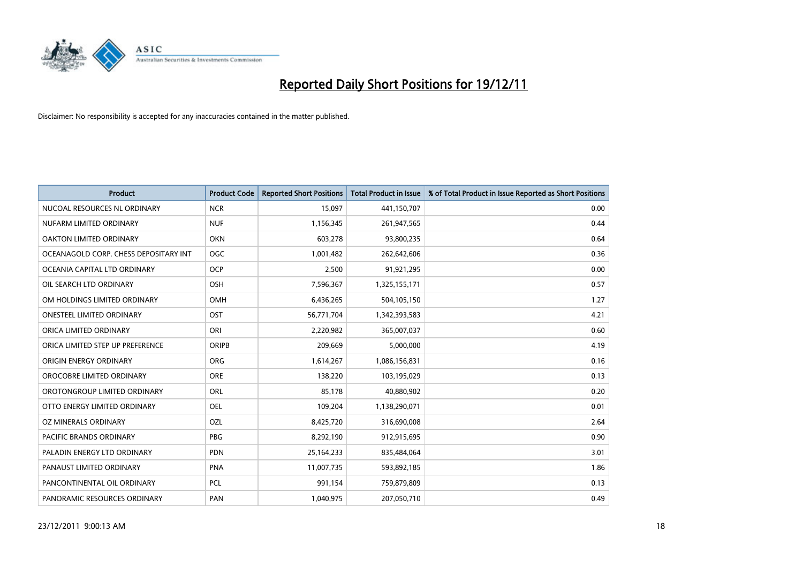

| <b>Product</b>                        | <b>Product Code</b> | <b>Reported Short Positions</b> | <b>Total Product in Issue</b> | % of Total Product in Issue Reported as Short Positions |
|---------------------------------------|---------------------|---------------------------------|-------------------------------|---------------------------------------------------------|
| NUCOAL RESOURCES NL ORDINARY          | <b>NCR</b>          | 15,097                          | 441,150,707                   | 0.00                                                    |
| NUFARM LIMITED ORDINARY               | <b>NUF</b>          | 1,156,345                       | 261,947,565                   | 0.44                                                    |
| OAKTON LIMITED ORDINARY               | <b>OKN</b>          | 603,278                         | 93,800,235                    | 0.64                                                    |
| OCEANAGOLD CORP. CHESS DEPOSITARY INT | <b>OGC</b>          | 1,001,482                       | 262,642,606                   | 0.36                                                    |
| OCEANIA CAPITAL LTD ORDINARY          | <b>OCP</b>          | 2,500                           | 91,921,295                    | 0.00                                                    |
| OIL SEARCH LTD ORDINARY               | OSH                 | 7,596,367                       | 1,325,155,171                 | 0.57                                                    |
| OM HOLDINGS LIMITED ORDINARY          | <b>OMH</b>          | 6,436,265                       | 504,105,150                   | 1.27                                                    |
| ONESTEEL LIMITED ORDINARY             | OST                 | 56,771,704                      | 1,342,393,583                 | 4.21                                                    |
| ORICA LIMITED ORDINARY                | ORI                 | 2,220,982                       | 365,007,037                   | 0.60                                                    |
| ORICA LIMITED STEP UP PREFERENCE      | <b>ORIPB</b>        | 209,669                         | 5,000,000                     | 4.19                                                    |
| ORIGIN ENERGY ORDINARY                | <b>ORG</b>          | 1,614,267                       | 1,086,156,831                 | 0.16                                                    |
| OROCOBRE LIMITED ORDINARY             | <b>ORE</b>          | 138,220                         | 103,195,029                   | 0.13                                                    |
| OROTONGROUP LIMITED ORDINARY          | ORL                 | 85,178                          | 40,880,902                    | 0.20                                                    |
| OTTO ENERGY LIMITED ORDINARY          | <b>OEL</b>          | 109,204                         | 1,138,290,071                 | 0.01                                                    |
| OZ MINERALS ORDINARY                  | OZL                 | 8,425,720                       | 316,690,008                   | 2.64                                                    |
| PACIFIC BRANDS ORDINARY               | <b>PBG</b>          | 8,292,190                       | 912,915,695                   | 0.90                                                    |
| PALADIN ENERGY LTD ORDINARY           | <b>PDN</b>          | 25,164,233                      | 835,484,064                   | 3.01                                                    |
| PANAUST LIMITED ORDINARY              | PNA                 | 11,007,735                      | 593,892,185                   | 1.86                                                    |
| PANCONTINENTAL OIL ORDINARY           | PCL                 | 991,154                         | 759,879,809                   | 0.13                                                    |
| PANORAMIC RESOURCES ORDINARY          | PAN                 | 1,040,975                       | 207,050,710                   | 0.49                                                    |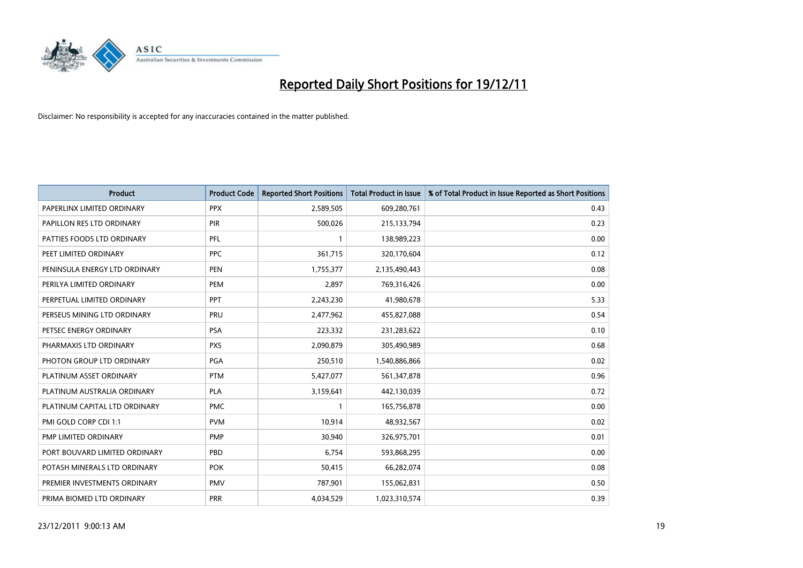

| <b>Product</b>                | <b>Product Code</b> | <b>Reported Short Positions</b> | <b>Total Product in Issue</b> | % of Total Product in Issue Reported as Short Positions |
|-------------------------------|---------------------|---------------------------------|-------------------------------|---------------------------------------------------------|
| PAPERLINX LIMITED ORDINARY    | <b>PPX</b>          | 2,589,505                       | 609,280,761                   | 0.43                                                    |
| PAPILLON RES LTD ORDINARY     | PIR                 | 500,026                         | 215,133,794                   | 0.23                                                    |
| PATTIES FOODS LTD ORDINARY    | PFL                 |                                 | 138,989,223                   | 0.00                                                    |
| PEET LIMITED ORDINARY         | <b>PPC</b>          | 361,715                         | 320,170,604                   | 0.12                                                    |
| PENINSULA ENERGY LTD ORDINARY | <b>PEN</b>          | 1,755,377                       | 2,135,490,443                 | 0.08                                                    |
| PERILYA LIMITED ORDINARY      | PEM                 | 2,897                           | 769,316,426                   | 0.00                                                    |
| PERPETUAL LIMITED ORDINARY    | <b>PPT</b>          | 2,243,230                       | 41,980,678                    | 5.33                                                    |
| PERSEUS MINING LTD ORDINARY   | PRU                 | 2,477,962                       | 455,827,088                   | 0.54                                                    |
| PETSEC ENERGY ORDINARY        | <b>PSA</b>          | 223,332                         | 231,283,622                   | 0.10                                                    |
| PHARMAXIS LTD ORDINARY        | <b>PXS</b>          | 2,090,879                       | 305,490,989                   | 0.68                                                    |
| PHOTON GROUP LTD ORDINARY     | <b>PGA</b>          | 250,510                         | 1,540,886,866                 | 0.02                                                    |
| PLATINUM ASSET ORDINARY       | <b>PTM</b>          | 5,427,077                       | 561,347,878                   | 0.96                                                    |
| PLATINUM AUSTRALIA ORDINARY   | <b>PLA</b>          | 3,159,641                       | 442,130,039                   | 0.72                                                    |
| PLATINUM CAPITAL LTD ORDINARY | <b>PMC</b>          |                                 | 165,756,878                   | 0.00                                                    |
| PMI GOLD CORP CDI 1:1         | <b>PVM</b>          | 10,914                          | 48,932,567                    | 0.02                                                    |
| PMP LIMITED ORDINARY          | <b>PMP</b>          | 30,940                          | 326,975,701                   | 0.01                                                    |
| PORT BOUVARD LIMITED ORDINARY | PBD                 | 6,754                           | 593,868,295                   | 0.00                                                    |
| POTASH MINERALS LTD ORDINARY  | <b>POK</b>          | 50,415                          | 66,282,074                    | 0.08                                                    |
| PREMIER INVESTMENTS ORDINARY  | <b>PMV</b>          | 787,901                         | 155,062,831                   | 0.50                                                    |
| PRIMA BIOMED LTD ORDINARY     | <b>PRR</b>          | 4,034,529                       | 1,023,310,574                 | 0.39                                                    |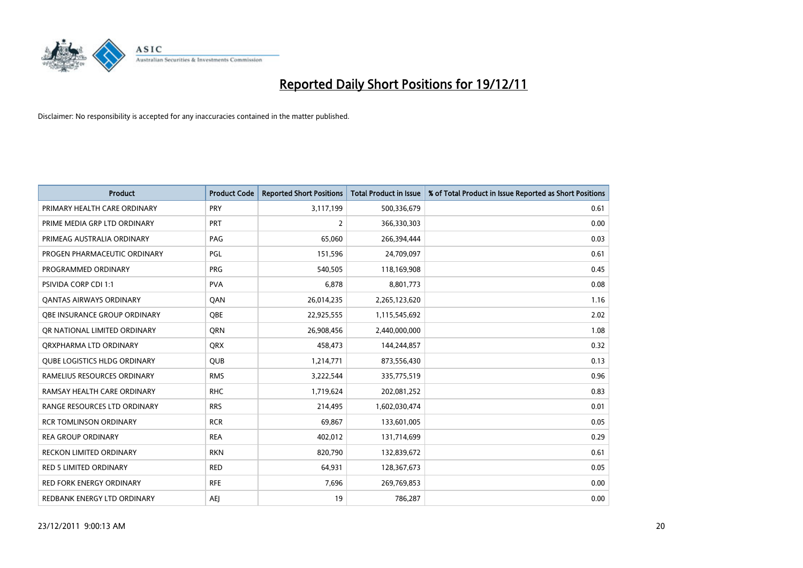

| <b>Product</b>                      | <b>Product Code</b> | <b>Reported Short Positions</b> | <b>Total Product in Issue</b> | % of Total Product in Issue Reported as Short Positions |
|-------------------------------------|---------------------|---------------------------------|-------------------------------|---------------------------------------------------------|
| PRIMARY HEALTH CARE ORDINARY        | <b>PRY</b>          | 3,117,199                       | 500,336,679                   | 0.61                                                    |
| PRIME MEDIA GRP LTD ORDINARY        | PRT                 | 2                               | 366,330,303                   | 0.00                                                    |
| PRIMEAG AUSTRALIA ORDINARY          | PAG                 | 65,060                          | 266,394,444                   | 0.03                                                    |
| PROGEN PHARMACEUTIC ORDINARY        | PGL                 | 151,596                         | 24,709,097                    | 0.61                                                    |
| PROGRAMMED ORDINARY                 | <b>PRG</b>          | 540,505                         | 118,169,908                   | 0.45                                                    |
| <b>PSIVIDA CORP CDI 1:1</b>         | <b>PVA</b>          | 6,878                           | 8,801,773                     | 0.08                                                    |
| <b>QANTAS AIRWAYS ORDINARY</b>      | QAN                 | 26,014,235                      | 2,265,123,620                 | 1.16                                                    |
| OBE INSURANCE GROUP ORDINARY        | <b>OBE</b>          | 22,925,555                      | 1,115,545,692                 | 2.02                                                    |
| OR NATIONAL LIMITED ORDINARY        | <b>ORN</b>          | 26,908,456                      | 2,440,000,000                 | 1.08                                                    |
| ORXPHARMA LTD ORDINARY              | <b>QRX</b>          | 458,473                         | 144,244,857                   | 0.32                                                    |
| <b>QUBE LOGISTICS HLDG ORDINARY</b> | <b>QUB</b>          | 1,214,771                       | 873,556,430                   | 0.13                                                    |
| RAMELIUS RESOURCES ORDINARY         | <b>RMS</b>          | 3,222,544                       | 335,775,519                   | 0.96                                                    |
| RAMSAY HEALTH CARE ORDINARY         | <b>RHC</b>          | 1,719,624                       | 202,081,252                   | 0.83                                                    |
| RANGE RESOURCES LTD ORDINARY        | <b>RRS</b>          | 214,495                         | 1,602,030,474                 | 0.01                                                    |
| <b>RCR TOMLINSON ORDINARY</b>       | <b>RCR</b>          | 69,867                          | 133,601,005                   | 0.05                                                    |
| <b>REA GROUP ORDINARY</b>           | <b>REA</b>          | 402,012                         | 131,714,699                   | 0.29                                                    |
| RECKON LIMITED ORDINARY             | <b>RKN</b>          | 820,790                         | 132,839,672                   | 0.61                                                    |
| RED 5 LIMITED ORDINARY              | <b>RED</b>          | 64,931                          | 128,367,673                   | 0.05                                                    |
| <b>RED FORK ENERGY ORDINARY</b>     | <b>RFE</b>          | 7,696                           | 269,769,853                   | 0.00                                                    |
| REDBANK ENERGY LTD ORDINARY         | AEJ                 | 19                              | 786,287                       | 0.00                                                    |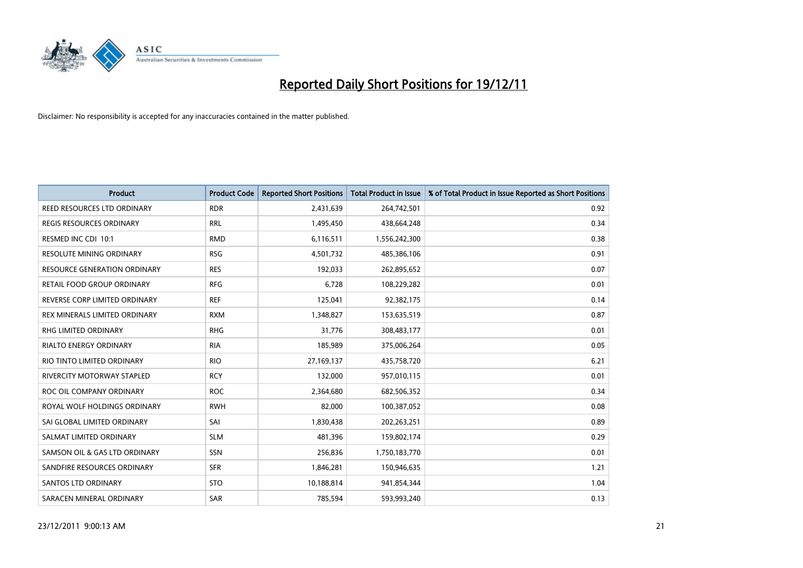

| <b>Product</b>                      | <b>Product Code</b> | <b>Reported Short Positions</b> | <b>Total Product in Issue</b> | % of Total Product in Issue Reported as Short Positions |
|-------------------------------------|---------------------|---------------------------------|-------------------------------|---------------------------------------------------------|
| REED RESOURCES LTD ORDINARY         | <b>RDR</b>          | 2,431,639                       | 264,742,501                   | 0.92                                                    |
| REGIS RESOURCES ORDINARY            | <b>RRL</b>          | 1,495,450                       | 438,664,248                   | 0.34                                                    |
| RESMED INC CDI 10:1                 | <b>RMD</b>          | 6,116,511                       | 1,556,242,300                 | 0.38                                                    |
| RESOLUTE MINING ORDINARY            | <b>RSG</b>          | 4,501,732                       | 485,386,106                   | 0.91                                                    |
| <b>RESOURCE GENERATION ORDINARY</b> | <b>RES</b>          | 192,033                         | 262,895,652                   | 0.07                                                    |
| RETAIL FOOD GROUP ORDINARY          | <b>RFG</b>          | 6,728                           | 108,229,282                   | 0.01                                                    |
| REVERSE CORP LIMITED ORDINARY       | <b>REF</b>          | 125,041                         | 92,382,175                    | 0.14                                                    |
| REX MINERALS LIMITED ORDINARY       | <b>RXM</b>          | 1,348,827                       | 153,635,519                   | 0.87                                                    |
| <b>RHG LIMITED ORDINARY</b>         | <b>RHG</b>          | 31,776                          | 308,483,177                   | 0.01                                                    |
| <b>RIALTO ENERGY ORDINARY</b>       | <b>RIA</b>          | 185,989                         | 375,006,264                   | 0.05                                                    |
| RIO TINTO LIMITED ORDINARY          | <b>RIO</b>          | 27,169,137                      | 435,758,720                   | 6.21                                                    |
| <b>RIVERCITY MOTORWAY STAPLED</b>   | <b>RCY</b>          | 132,000                         | 957,010,115                   | 0.01                                                    |
| ROC OIL COMPANY ORDINARY            | <b>ROC</b>          | 2,364,680                       | 682,506,352                   | 0.34                                                    |
| ROYAL WOLF HOLDINGS ORDINARY        | <b>RWH</b>          | 82,000                          | 100,387,052                   | 0.08                                                    |
| SAI GLOBAL LIMITED ORDINARY         | SAI                 | 1,830,438                       | 202,263,251                   | 0.89                                                    |
| SALMAT LIMITED ORDINARY             | <b>SLM</b>          | 481,396                         | 159,802,174                   | 0.29                                                    |
| SAMSON OIL & GAS LTD ORDINARY       | SSN                 | 256,836                         | 1,750,183,770                 | 0.01                                                    |
| SANDFIRE RESOURCES ORDINARY         | <b>SFR</b>          | 1,846,281                       | 150,946,635                   | 1.21                                                    |
| <b>SANTOS LTD ORDINARY</b>          | <b>STO</b>          | 10,188,814                      | 941,854,344                   | 1.04                                                    |
| SARACEN MINERAL ORDINARY            | SAR                 | 785,594                         | 593,993,240                   | 0.13                                                    |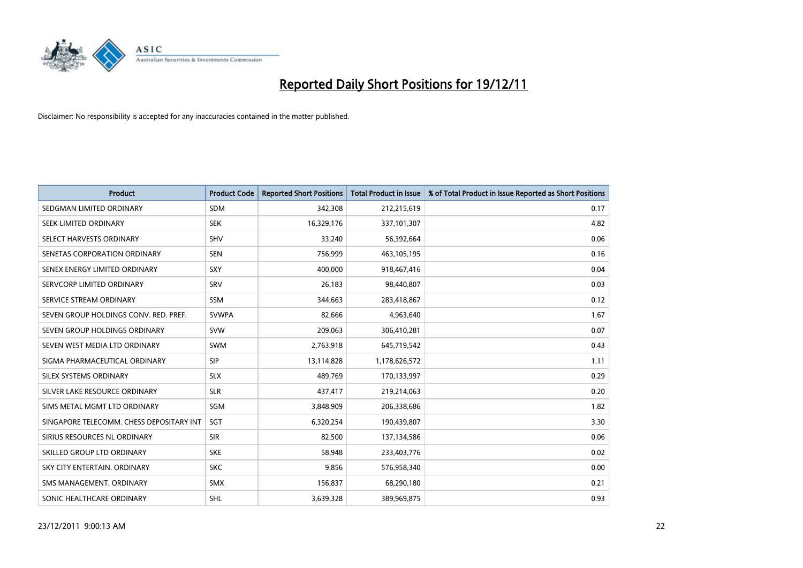

| <b>Product</b>                           | <b>Product Code</b> | <b>Reported Short Positions</b> | <b>Total Product in Issue</b> | % of Total Product in Issue Reported as Short Positions |
|------------------------------------------|---------------------|---------------------------------|-------------------------------|---------------------------------------------------------|
| SEDGMAN LIMITED ORDINARY                 | <b>SDM</b>          | 342,308                         | 212,215,619                   | 0.17                                                    |
| SEEK LIMITED ORDINARY                    | <b>SEK</b>          | 16,329,176                      | 337,101,307                   | 4.82                                                    |
| SELECT HARVESTS ORDINARY                 | <b>SHV</b>          | 33,240                          | 56,392,664                    | 0.06                                                    |
| SENETAS CORPORATION ORDINARY             | <b>SEN</b>          | 756,999                         | 463,105,195                   | 0.16                                                    |
| SENEX ENERGY LIMITED ORDINARY            | SXY                 | 400,000                         | 918,467,416                   | 0.04                                                    |
| SERVCORP LIMITED ORDINARY                | SRV                 | 26,183                          | 98,440,807                    | 0.03                                                    |
| SERVICE STREAM ORDINARY                  | <b>SSM</b>          | 344,663                         | 283,418,867                   | 0.12                                                    |
| SEVEN GROUP HOLDINGS CONV. RED. PREF.    | <b>SVWPA</b>        | 82,666                          | 4,963,640                     | 1.67                                                    |
| SEVEN GROUP HOLDINGS ORDINARY            | <b>SVW</b>          | 209,063                         | 306,410,281                   | 0.07                                                    |
| SEVEN WEST MEDIA LTD ORDINARY            | <b>SWM</b>          | 2,763,918                       | 645,719,542                   | 0.43                                                    |
| SIGMA PHARMACEUTICAL ORDINARY            | <b>SIP</b>          | 13,114,828                      | 1,178,626,572                 | 1.11                                                    |
| SILEX SYSTEMS ORDINARY                   | <b>SLX</b>          | 489,769                         | 170,133,997                   | 0.29                                                    |
| SILVER LAKE RESOURCE ORDINARY            | <b>SLR</b>          | 437,417                         | 219,214,063                   | 0.20                                                    |
| SIMS METAL MGMT LTD ORDINARY             | SGM                 | 3,848,909                       | 206,338,686                   | 1.82                                                    |
| SINGAPORE TELECOMM. CHESS DEPOSITARY INT | SGT                 | 6,320,254                       | 190,439,807                   | 3.30                                                    |
| SIRIUS RESOURCES NL ORDINARY             | <b>SIR</b>          | 82,500                          | 137,134,586                   | 0.06                                                    |
| SKILLED GROUP LTD ORDINARY               | <b>SKE</b>          | 58,948                          | 233,403,776                   | 0.02                                                    |
| SKY CITY ENTERTAIN, ORDINARY             | <b>SKC</b>          | 9,856                           | 576,958,340                   | 0.00                                                    |
| SMS MANAGEMENT, ORDINARY                 | <b>SMX</b>          | 156,837                         | 68,290,180                    | 0.21                                                    |
| SONIC HEALTHCARE ORDINARY                | SHL                 | 3,639,328                       | 389,969,875                   | 0.93                                                    |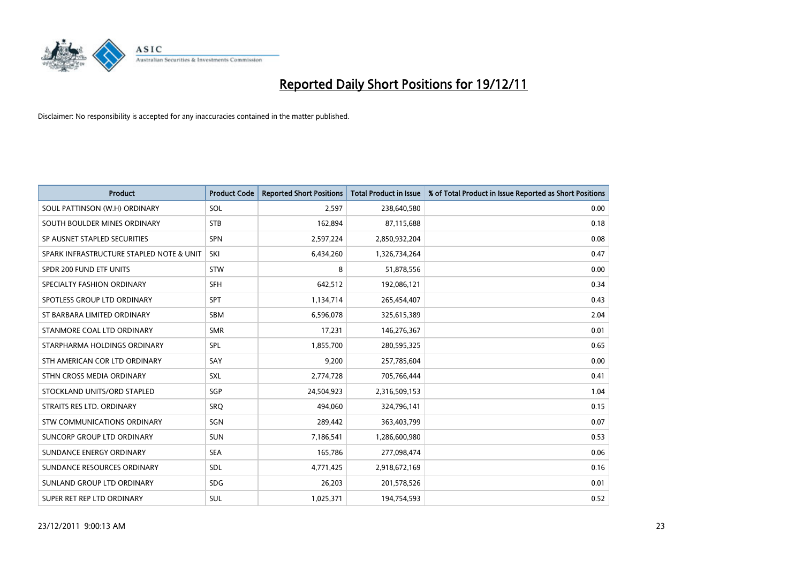

| <b>Product</b>                           | <b>Product Code</b> | <b>Reported Short Positions</b> | <b>Total Product in Issue</b> | % of Total Product in Issue Reported as Short Positions |
|------------------------------------------|---------------------|---------------------------------|-------------------------------|---------------------------------------------------------|
| SOUL PATTINSON (W.H) ORDINARY            | SOL                 | 2,597                           | 238,640,580                   | 0.00                                                    |
| SOUTH BOULDER MINES ORDINARY             | <b>STB</b>          | 162,894                         | 87,115,688                    | 0.18                                                    |
| SP AUSNET STAPLED SECURITIES             | <b>SPN</b>          | 2,597,224                       | 2,850,932,204                 | 0.08                                                    |
| SPARK INFRASTRUCTURE STAPLED NOTE & UNIT | SKI                 | 6,434,260                       | 1,326,734,264                 | 0.47                                                    |
| SPDR 200 FUND ETF UNITS                  | <b>STW</b>          | 8                               | 51,878,556                    | 0.00                                                    |
| SPECIALTY FASHION ORDINARY               | <b>SFH</b>          | 642,512                         | 192,086,121                   | 0.34                                                    |
| SPOTLESS GROUP LTD ORDINARY              | <b>SPT</b>          | 1,134,714                       | 265,454,407                   | 0.43                                                    |
| ST BARBARA LIMITED ORDINARY              | <b>SBM</b>          | 6,596,078                       | 325,615,389                   | 2.04                                                    |
| STANMORE COAL LTD ORDINARY               | <b>SMR</b>          | 17,231                          | 146,276,367                   | 0.01                                                    |
| STARPHARMA HOLDINGS ORDINARY             | SPL                 | 1,855,700                       | 280,595,325                   | 0.65                                                    |
| STH AMERICAN COR LTD ORDINARY            | SAY                 | 9,200                           | 257,785,604                   | 0.00                                                    |
| STHN CROSS MEDIA ORDINARY                | <b>SXL</b>          | 2,774,728                       | 705,766,444                   | 0.41                                                    |
| STOCKLAND UNITS/ORD STAPLED              | SGP                 | 24,504,923                      | 2,316,509,153                 | 1.04                                                    |
| STRAITS RES LTD. ORDINARY                | SRO                 | 494,060                         | 324,796,141                   | 0.15                                                    |
| <b>STW COMMUNICATIONS ORDINARY</b>       | SGN                 | 289,442                         | 363,403,799                   | 0.07                                                    |
| SUNCORP GROUP LTD ORDINARY               | <b>SUN</b>          | 7,186,541                       | 1,286,600,980                 | 0.53                                                    |
| SUNDANCE ENERGY ORDINARY                 | <b>SEA</b>          | 165,786                         | 277,098,474                   | 0.06                                                    |
| SUNDANCE RESOURCES ORDINARY              | <b>SDL</b>          | 4,771,425                       | 2,918,672,169                 | 0.16                                                    |
| SUNLAND GROUP LTD ORDINARY               | <b>SDG</b>          | 26,203                          | 201,578,526                   | 0.01                                                    |
| SUPER RET REP LTD ORDINARY               | <b>SUL</b>          | 1,025,371                       | 194,754,593                   | 0.52                                                    |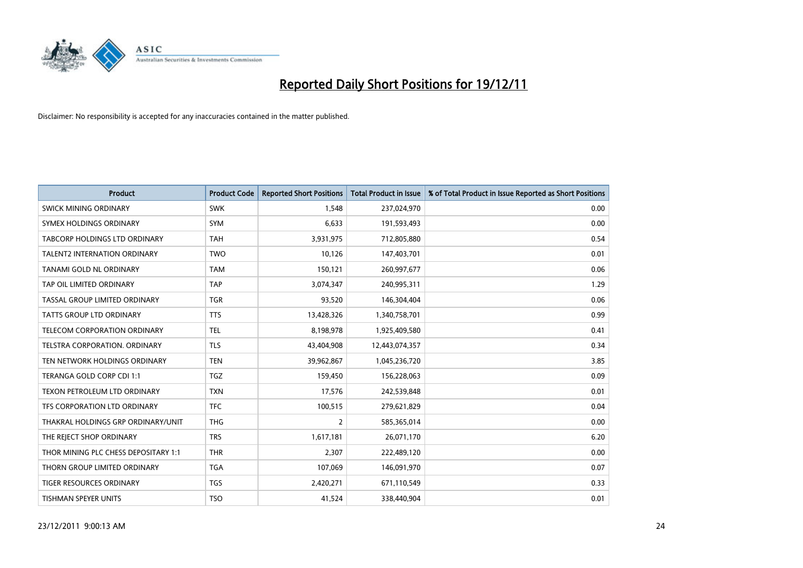

| <b>Product</b>                       | <b>Product Code</b> | <b>Reported Short Positions</b> | <b>Total Product in Issue</b> | % of Total Product in Issue Reported as Short Positions |
|--------------------------------------|---------------------|---------------------------------|-------------------------------|---------------------------------------------------------|
| <b>SWICK MINING ORDINARY</b>         | <b>SWK</b>          | 1.548                           | 237,024,970                   | 0.00                                                    |
| SYMEX HOLDINGS ORDINARY              | <b>SYM</b>          | 6,633                           | 191,593,493                   | 0.00                                                    |
| <b>TABCORP HOLDINGS LTD ORDINARY</b> | <b>TAH</b>          | 3,931,975                       | 712,805,880                   | 0.54                                                    |
| <b>TALENT2 INTERNATION ORDINARY</b>  | <b>TWO</b>          | 10,126                          | 147,403,701                   | 0.01                                                    |
| TANAMI GOLD NL ORDINARY              | <b>TAM</b>          | 150,121                         | 260,997,677                   | 0.06                                                    |
| TAP OIL LIMITED ORDINARY             | TAP                 | 3,074,347                       | 240,995,311                   | 1.29                                                    |
| TASSAL GROUP LIMITED ORDINARY        | <b>TGR</b>          | 93,520                          | 146,304,404                   | 0.06                                                    |
| TATTS GROUP LTD ORDINARY             | <b>TTS</b>          | 13,428,326                      | 1,340,758,701                 | 0.99                                                    |
| TELECOM CORPORATION ORDINARY         | <b>TEL</b>          | 8,198,978                       | 1,925,409,580                 | 0.41                                                    |
| TELSTRA CORPORATION, ORDINARY        | <b>TLS</b>          | 43,404,908                      | 12,443,074,357                | 0.34                                                    |
| TEN NETWORK HOLDINGS ORDINARY        | <b>TEN</b>          | 39,962,867                      | 1,045,236,720                 | 3.85                                                    |
| TERANGA GOLD CORP CDI 1:1            | <b>TGZ</b>          | 159,450                         | 156,228,063                   | 0.09                                                    |
| TEXON PETROLEUM LTD ORDINARY         | <b>TXN</b>          | 17,576                          | 242,539,848                   | 0.01                                                    |
| TFS CORPORATION LTD ORDINARY         | <b>TFC</b>          | 100,515                         | 279,621,829                   | 0.04                                                    |
| THAKRAL HOLDINGS GRP ORDINARY/UNIT   | <b>THG</b>          | $\overline{2}$                  | 585,365,014                   | 0.00                                                    |
| THE REJECT SHOP ORDINARY             | <b>TRS</b>          | 1,617,181                       | 26,071,170                    | 6.20                                                    |
| THOR MINING PLC CHESS DEPOSITARY 1:1 | <b>THR</b>          | 2,307                           | 222,489,120                   | 0.00                                                    |
| THORN GROUP LIMITED ORDINARY         | <b>TGA</b>          | 107,069                         | 146,091,970                   | 0.07                                                    |
| <b>TIGER RESOURCES ORDINARY</b>      | <b>TGS</b>          | 2,420,271                       | 671,110,549                   | 0.33                                                    |
| TISHMAN SPEYER UNITS                 | <b>TSO</b>          | 41,524                          | 338,440,904                   | 0.01                                                    |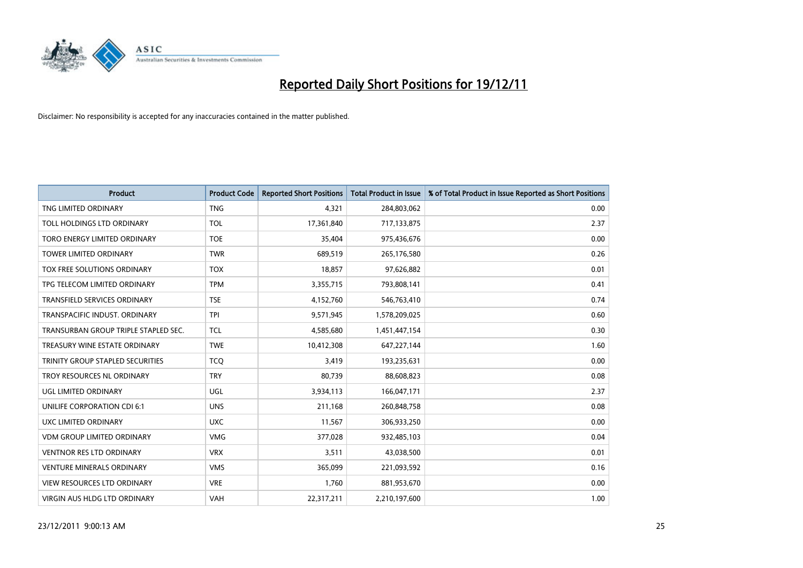

| <b>Product</b>                       | <b>Product Code</b> | <b>Reported Short Positions</b> | <b>Total Product in Issue</b> | % of Total Product in Issue Reported as Short Positions |
|--------------------------------------|---------------------|---------------------------------|-------------------------------|---------------------------------------------------------|
| TNG LIMITED ORDINARY                 | <b>TNG</b>          | 4,321                           | 284,803,062                   | 0.00                                                    |
| TOLL HOLDINGS LTD ORDINARY           | <b>TOL</b>          | 17,361,840                      | 717,133,875                   | 2.37                                                    |
| TORO ENERGY LIMITED ORDINARY         | <b>TOE</b>          | 35,404                          | 975,436,676                   | 0.00                                                    |
| TOWER LIMITED ORDINARY               | <b>TWR</b>          | 689,519                         | 265,176,580                   | 0.26                                                    |
| <b>TOX FREE SOLUTIONS ORDINARY</b>   | <b>TOX</b>          | 18,857                          | 97,626,882                    | 0.01                                                    |
| TPG TELECOM LIMITED ORDINARY         | <b>TPM</b>          | 3,355,715                       | 793,808,141                   | 0.41                                                    |
| TRANSFIELD SERVICES ORDINARY         | <b>TSE</b>          | 4,152,760                       | 546,763,410                   | 0.74                                                    |
| TRANSPACIFIC INDUST, ORDINARY        | <b>TPI</b>          | 9,571,945                       | 1,578,209,025                 | 0.60                                                    |
| TRANSURBAN GROUP TRIPLE STAPLED SEC. | <b>TCL</b>          | 4,585,680                       | 1,451,447,154                 | 0.30                                                    |
| TREASURY WINE ESTATE ORDINARY        | <b>TWE</b>          | 10,412,308                      | 647,227,144                   | 1.60                                                    |
| TRINITY GROUP STAPLED SECURITIES     | <b>TCO</b>          | 3,419                           | 193,235,631                   | 0.00                                                    |
| TROY RESOURCES NL ORDINARY           | <b>TRY</b>          | 80,739                          | 88,608,823                    | 0.08                                                    |
| UGL LIMITED ORDINARY                 | UGL                 | 3,934,113                       | 166,047,171                   | 2.37                                                    |
| UNILIFE CORPORATION CDI 6:1          | <b>UNS</b>          | 211,168                         | 260,848,758                   | 0.08                                                    |
| UXC LIMITED ORDINARY                 | <b>UXC</b>          | 11,567                          | 306,933,250                   | 0.00                                                    |
| <b>VDM GROUP LIMITED ORDINARY</b>    | <b>VMG</b>          | 377,028                         | 932,485,103                   | 0.04                                                    |
| VENTNOR RES LTD ORDINARY             | <b>VRX</b>          | 3,511                           | 43,038,500                    | 0.01                                                    |
| VENTURE MINERALS ORDINARY            | <b>VMS</b>          | 365,099                         | 221,093,592                   | 0.16                                                    |
| <b>VIEW RESOURCES LTD ORDINARY</b>   | <b>VRE</b>          | 1,760                           | 881,953,670                   | 0.00                                                    |
| VIRGIN AUS HLDG LTD ORDINARY         | VAH                 | 22,317,211                      | 2,210,197,600                 | 1.00                                                    |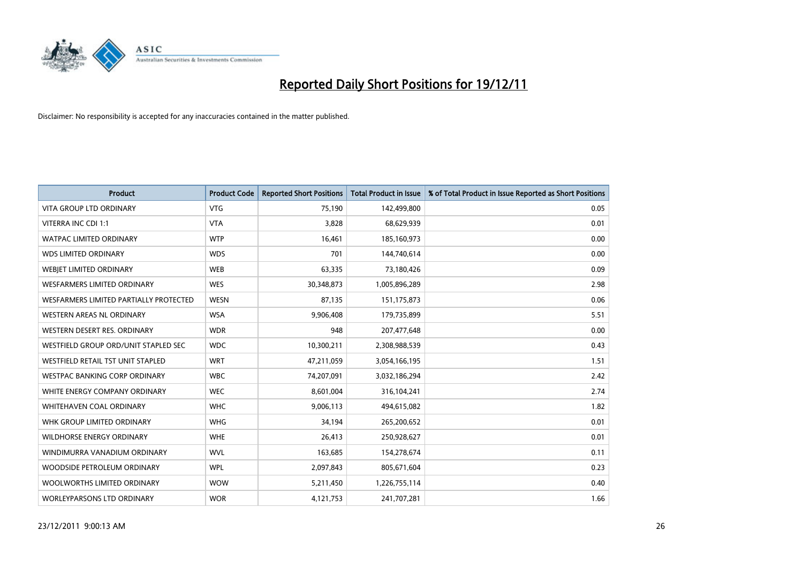

| <b>Product</b>                                | <b>Product Code</b> | <b>Reported Short Positions</b> | <b>Total Product in Issue</b> | % of Total Product in Issue Reported as Short Positions |
|-----------------------------------------------|---------------------|---------------------------------|-------------------------------|---------------------------------------------------------|
| <b>VITA GROUP LTD ORDINARY</b>                | <b>VTG</b>          | 75,190                          | 142,499,800                   | 0.05                                                    |
| VITERRA INC CDI 1:1                           | <b>VTA</b>          | 3,828                           | 68,629,939                    | 0.01                                                    |
| <b>WATPAC LIMITED ORDINARY</b>                | <b>WTP</b>          | 16,461                          | 185,160,973                   | 0.00                                                    |
| <b>WDS LIMITED ORDINARY</b>                   | <b>WDS</b>          | 701                             | 144,740,614                   | 0.00                                                    |
| WEBIET LIMITED ORDINARY                       | <b>WEB</b>          | 63,335                          | 73,180,426                    | 0.09                                                    |
| <b>WESFARMERS LIMITED ORDINARY</b>            | <b>WES</b>          | 30,348,873                      | 1,005,896,289                 | 2.98                                                    |
| <b>WESFARMERS LIMITED PARTIALLY PROTECTED</b> | <b>WESN</b>         | 87,135                          | 151, 175, 873                 | 0.06                                                    |
| <b>WESTERN AREAS NL ORDINARY</b>              | <b>WSA</b>          | 9,906,408                       | 179,735,899                   | 5.51                                                    |
| WESTERN DESERT RES. ORDINARY                  | <b>WDR</b>          | 948                             | 207,477,648                   | 0.00                                                    |
| WESTFIELD GROUP ORD/UNIT STAPLED SEC          | <b>WDC</b>          | 10,300,211                      | 2,308,988,539                 | 0.43                                                    |
| WESTFIELD RETAIL TST UNIT STAPLED             | <b>WRT</b>          | 47,211,059                      | 3,054,166,195                 | 1.51                                                    |
| WESTPAC BANKING CORP ORDINARY                 | <b>WBC</b>          | 74,207,091                      | 3,032,186,294                 | 2.42                                                    |
| WHITE ENERGY COMPANY ORDINARY                 | <b>WEC</b>          | 8,601,004                       | 316,104,241                   | 2.74                                                    |
| <b>WHITEHAVEN COAL ORDINARY</b>               | <b>WHC</b>          | 9,006,113                       | 494,615,082                   | 1.82                                                    |
| WHK GROUP LIMITED ORDINARY                    | <b>WHG</b>          | 34,194                          | 265,200,652                   | 0.01                                                    |
| WILDHORSE ENERGY ORDINARY                     | <b>WHE</b>          | 26,413                          | 250,928,627                   | 0.01                                                    |
| WINDIMURRA VANADIUM ORDINARY                  | <b>WVL</b>          | 163,685                         | 154,278,674                   | 0.11                                                    |
| WOODSIDE PETROLEUM ORDINARY                   | <b>WPL</b>          | 2,097,843                       | 805,671,604                   | 0.23                                                    |
| WOOLWORTHS LIMITED ORDINARY                   | <b>WOW</b>          | 5,211,450                       | 1,226,755,114                 | 0.40                                                    |
| <b>WORLEYPARSONS LTD ORDINARY</b>             | <b>WOR</b>          | 4,121,753                       | 241,707,281                   | 1.66                                                    |